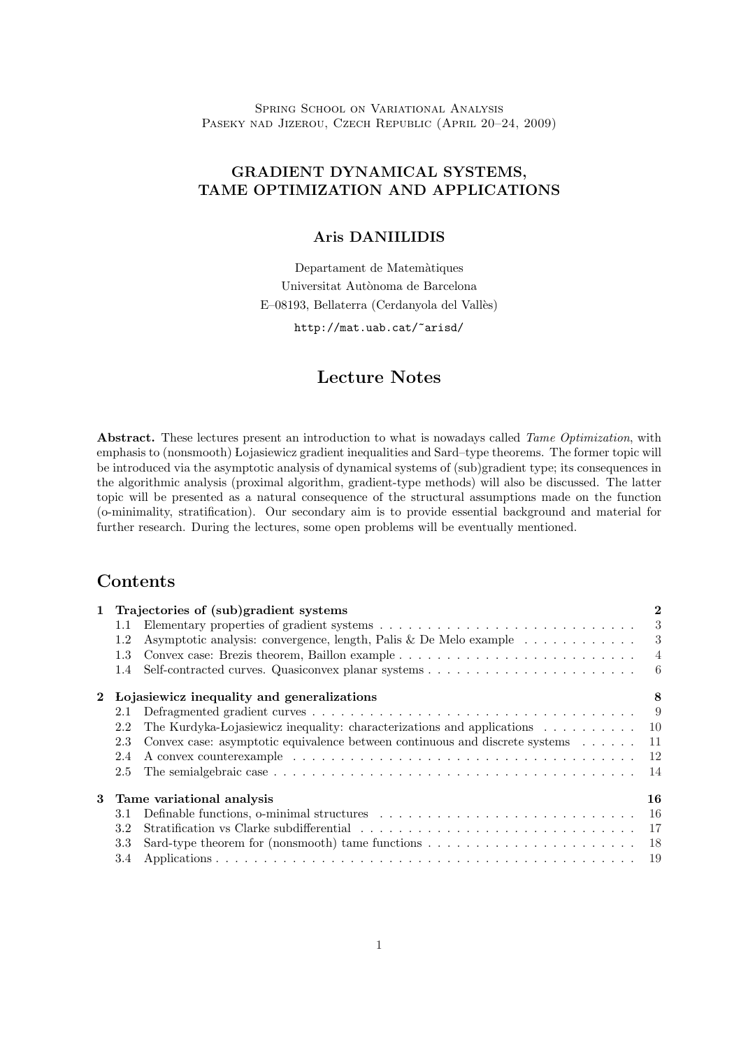Spring School on Variational Analysis PASEKY NAD JIZEROU, CZECH REPUBLIC (APRIL 20-24, 2009)

## GRADIENT DYNAMICAL SYSTEMS, TAME OPTIMIZATION AND APPLICATIONS

### Aris DANIILIDIS

Departament de Matem`atiques Universitat Autònoma de Barcelona E-08193, Bellaterra (Cerdanyola del Vallès)

http://mat.uab.cat/~arisd/

# Lecture Notes

Abstract. These lectures present an introduction to what is nowadays called Tame Optimization, with emphasis to (nonsmooth) Lojasiewicz gradient inequalities and Sard–type theorems. The former topic will be introduced via the asymptotic analysis of dynamical systems of (sub)gradient type; its consequences in the algorithmic analysis (proximal algorithm, gradient-type methods) will also be discussed. The latter topic will be presented as a natural consequence of the structural assumptions made on the function (o-minimality, stratification). Our secondary aim is to provide essential background and material for further research. During the lectures, some open problems will be eventually mentioned.

## Contents

| 1           |                                            | Trajectories of (sub)gradient systems                                                                         | $\bf{2}$       |
|-------------|--------------------------------------------|---------------------------------------------------------------------------------------------------------------|----------------|
|             | $1.1\,$                                    |                                                                                                               | 3              |
|             | 1.2                                        | Asymptotic analysis: convergence, length, Palis & De Melo example $\dots \dots \dots$                         | 3              |
|             | 1.3                                        |                                                                                                               | $\overline{4}$ |
|             | 1.4                                        |                                                                                                               |                |
| $2^{\circ}$ | Lojasiewicz inequality and generalizations |                                                                                                               | 8              |
|             | 2.1                                        |                                                                                                               | - 9            |
|             | 2.2                                        | The Kurdyka-Lojasiewicz inequality: characterizations and applications $\dots \dots \dots \dots$              |                |
|             | 2.3                                        | Convex case: asymptotic equivalence between continuous and discrete systems                                   | -11            |
|             | 2.4                                        |                                                                                                               | -12            |
|             | 2.5                                        |                                                                                                               | 14             |
| 3           | Tame variational analysis                  |                                                                                                               | 16             |
|             | 3.1                                        | Definable functions, o-minimal structures $\dots \dots \dots \dots \dots \dots \dots \dots \dots \dots \dots$ | <sup>16</sup>  |
|             | 3.2                                        |                                                                                                               | -17            |
|             | 3.3                                        |                                                                                                               |                |
|             | 3.4                                        |                                                                                                               | - 19           |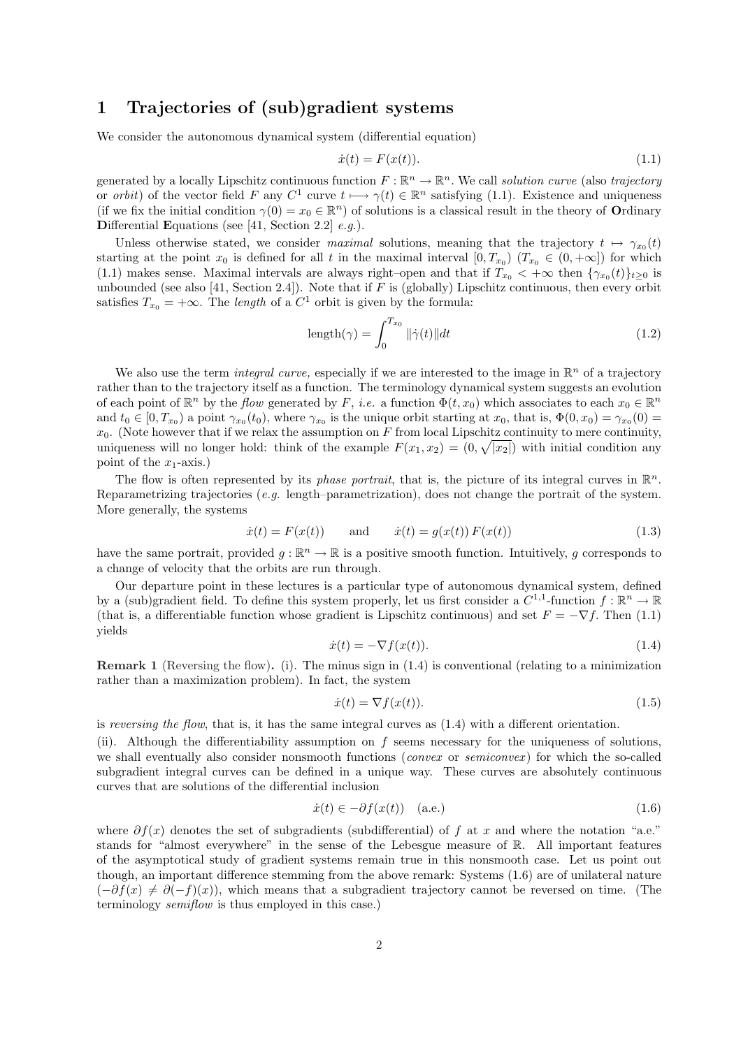## 1 Trajectories of (sub)gradient systems

We consider the autonomous dynamical system (differential equation)

$$
\dot{x}(t) = F(x(t)).\tag{1.1}
$$

generated by a locally Lipschitz continuous function  $F : \mathbb{R}^n \to \mathbb{R}^n$ . We call solution curve (also trajectory or *orbit*) of the vector field F any  $C^1$  curve  $t \mapsto \gamma(t) \in \mathbb{R}^n$  satisfying (1.1). Existence and uniqueness (if we fix the initial condition  $\gamma(0) = x_0 \in \mathbb{R}^n$ ) of solutions is a classical result in the theory of **Ordinary** Differential Equations (see [41, Section 2.2]  $e.g.$ ).

Unless otherwise stated, we consider maximal solutions, meaning that the trajectory  $t \mapsto \gamma_{x_0}(t)$ starting at the point  $x_0$  is defined for all t in the maximal interval  $[0, T_{x_0})$   $(T_{x_0} \in (0, +\infty])$  for which (1.1) makes sense. Maximal intervals are always right–open and that if  $T_{x_0} < +\infty$  then  $\{\gamma_{x_0}(t)\}_{t\geq 0}$  is unbounded (see also [41, Section 2.4]). Note that if  $F$  is (globally) Lipschitz continuous, then every orbit satisfies  $T_{x_0} = +\infty$ . The *length* of a  $C^1$  orbit is given by the formula:

$$
length(\gamma) = \int_0^{T_{x_0}} ||\dot{\gamma}(t)||dt
$$
\n(1.2)

We also use the term *integral curve*, especially if we are interested to the image in  $\mathbb{R}^n$  of a trajectory rather than to the trajectory itself as a function. The terminology dynamical system suggests an evolution of each point of  $\mathbb{R}^n$  by the *flow* generated by F, *i.e.* a function  $\Phi(t, x_0)$  which associates to each  $x_0 \in \mathbb{R}^n$ and  $t_0 \in [0, T_{x_0})$  a point  $\gamma_{x_0}(t_0)$ , where  $\gamma_{x_0}$  is the unique orbit starting at  $x_0$ , that is,  $\Phi(0, x_0) = \gamma_{x_0}(0) =$  $x_0$ . (Note however that if we relax the assumption on F from local Lipschitz continuity to mere continuity, uniqueness will no longer hold: think of the example  $F(x_1, x_2) = (0, \sqrt{|x_2|})$  with initial condition any point of the  $x_1$ -axis.)

The flow is often represented by its *phase portrait*, that is, the picture of its integral curves in  $\mathbb{R}^n$ . Reparametrizing trajectories (e.g. length–parametrization), does not change the portrait of the system. More generally, the systems

$$
\dot{x}(t) = F(x(t))
$$
 and  $\dot{x}(t) = g(x(t)) F(x(t))$  (1.3)

have the same portrait, provided  $g: \mathbb{R}^n \to \mathbb{R}$  is a positive smooth function. Intuitively, g corresponds to a change of velocity that the orbits are run through.

Our departure point in these lectures is a particular type of autonomous dynamical system, defined by a (sub)gradient field. To define this system properly, let us first consider a  $C^{1,1}$ -function  $f : \mathbb{R}^n \to \mathbb{R}$ (that is, a differentiable function whose gradient is Lipschitz continuous) and set  $F = -\nabla f$ . Then (1.1) yields

$$
\dot{x}(t) = -\nabla f(x(t)).\tag{1.4}
$$

**Remark 1** (Reversing the flow). (i). The minus sign in  $(1.4)$  is conventional (relating to a minimization rather than a maximization problem). In fact, the system

$$
\dot{x}(t) = \nabla f(x(t)).\tag{1.5}
$$

is reversing the flow, that is, it has the same integral curves as  $(1.4)$  with a different orientation.

(ii). Although the differentiability assumption on  $f$  seems necessary for the uniqueness of solutions, we shall eventually also consider nonsmooth functions *(convex or semiconvex)* for which the so-called subgradient integral curves can be defined in a unique way. These curves are absolutely continuous curves that are solutions of the differential inclusion

$$
\dot{x}(t) \in -\partial f(x(t)) \quad \text{(a.e.)} \tag{1.6}
$$

where  $\partial f(x)$  denotes the set of subgradients (subdifferential) of f at x and where the notation "a.e." stands for "almost everywhere" in the sense of the Lebesgue measure of R. All important features of the asymptotical study of gradient systems remain true in this nonsmooth case. Let us point out though, an important difference stemming from the above remark: Systems (1.6) are of unilateral nature  $(-\partial f(x) \neq \partial (-f)(x))$ , which means that a subgradient trajectory cannot be reversed on time. (The terminology semiflow is thus employed in this case.)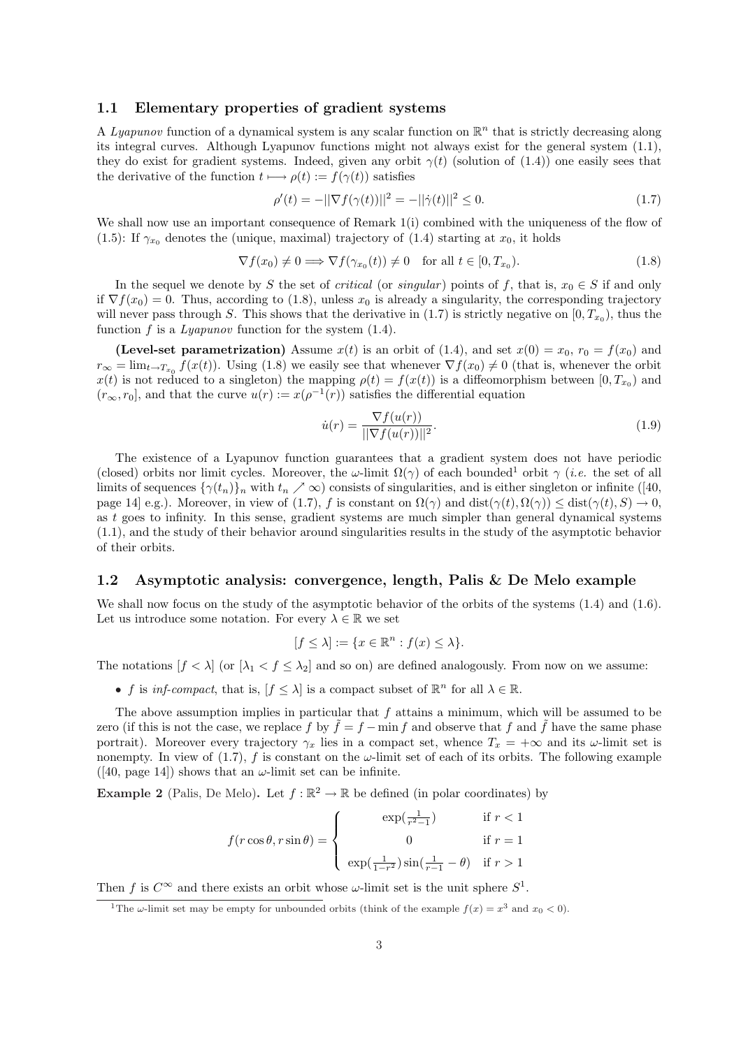### 1.1 Elementary properties of gradient systems

A Lyapunov function of a dynamical system is any scalar function on  $\mathbb{R}^n$  that is strictly decreasing along its integral curves. Although Lyapunov functions might not always exist for the general system (1.1), they do exist for gradient systems. Indeed, given any orbit  $\gamma(t)$  (solution of (1.4)) one easily sees that the derivative of the function  $t \mapsto \rho(t) := f(\gamma(t))$  satisfies

$$
\rho'(t) = -||\nabla f(\gamma(t))||^2 = -||\dot{\gamma}(t)||^2 \le 0.
$$
\n(1.7)

We shall now use an important consequence of Remark 1(i) combined with the uniqueness of the flow of (1.5): If  $\gamma_{x_0}$  denotes the (unique, maximal) trajectory of (1.4) starting at  $x_0$ , it holds

$$
\nabla f(x_0) \neq 0 \Longrightarrow \nabla f(\gamma_{x_0}(t)) \neq 0 \quad \text{for all } t \in [0, T_{x_0}). \tag{1.8}
$$

In the sequel we denote by S the set of *critical* (or *singular*) points of f, that is,  $x_0 \in S$  if and only if  $\nabla f(x_0) = 0$ . Thus, according to (1.8), unless  $x_0$  is already a singularity, the corresponding trajectory will never pass through S. This shows that the derivative in  $(1.7)$  is strictly negative on  $[0, T_{x_0})$ , thus the function f is a Lyapunov function for the system  $(1.4)$ .

(Level-set parametrization) Assume  $x(t)$  is an orbit of (1.4), and set  $x(0) = x_0$ ,  $r_0 = f(x_0)$  and  $r_{\infty} = \lim_{t \to T_{x_0}} f(x(t))$ . Using (1.8) we easily see that whenever  $\nabla f(x_0) \neq 0$  (that is, whenever the orbit  $x(t)$  is not reduced to a singleton) the mapping  $\rho(t) = f(x(t))$  is a diffeomorphism between  $[0, T_{x_0})$  and  $(r_\infty, r_0]$ , and that the curve  $u(r) := x(\rho^{-1}(r))$  satisfies the differential equation

$$
\dot{u}(r) = \frac{\nabla f(u(r))}{\|\nabla f(u(r))\|^2}.\tag{1.9}
$$

The existence of a Lyapunov function guarantees that a gradient system does not have periodic (closed) orbits nor limit cycles. Moreover, the  $\omega$ -limit  $\Omega(\gamma)$  of each bounded<sup>1</sup> orbit  $\gamma$  (*i.e.* the set of all limits of sequences  $\{\gamma(t_n)\}_n$  with  $t_n \nearrow \infty$ ) consists of singularities, and is either singleton or infinite ([40, page 14] e.g.). Moreover, in view of (1.7), f is constant on  $\Omega(\gamma)$  and  $dist(\gamma(t), \Omega(\gamma)) \leq dist(\gamma(t), S) \to 0$ , as  $t$  goes to infinity. In this sense, gradient systems are much simpler than general dynamical systems (1.1), and the study of their behavior around singularities results in the study of the asymptotic behavior of their orbits.

### 1.2 Asymptotic analysis: convergence, length, Palis & De Melo example

We shall now focus on the study of the asymptotic behavior of the orbits of the systems  $(1.4)$  and  $(1.6)$ . Let us introduce some notation. For every  $\lambda \in \mathbb{R}$  we set

$$
[f \le \lambda] := \{ x \in \mathbb{R}^n : f(x) \le \lambda \}.
$$

The notations  $[f < \lambda]$  (or  $[\lambda_1 < f \leq \lambda_2]$  and so on) are defined analogously. From now on we assume:

• f is inf-compact, that is,  $[f \leq \lambda]$  is a compact subset of  $\mathbb{R}^n$  for all  $\lambda \in \mathbb{R}$ .

The above assumption implies in particular that  $f$  attains a minimum, which will be assumed to be zero (if this is not the case, we replace f by  $\tilde{f} = f - \min f$  and observe that f and  $\tilde{f}$  have the same phase portrait). Moreover every trajectory  $\gamma_x$  lies in a compact set, whence  $T_x = +\infty$  and its  $\omega$ -limit set is nonempty. In view of  $(1.7)$ , f is constant on the  $\omega$ -limit set of each of its orbits. The following example ([40, page 14]) shows that an  $\omega$ -limit set can be infinite.

**Example 2** (Palis, De Melo). Let  $f : \mathbb{R}^2 \to \mathbb{R}$  be defined (in polar coordinates) by

$$
f(r\cos\theta, r\sin\theta) = \begin{cases} \exp(\frac{1}{r^2-1}) & \text{if } r < 1 \\ 0 & \text{if } r = 1 \\ \exp(\frac{1}{1-r^2})\sin(\frac{1}{r-1} - \theta) & \text{if } r > 1 \end{cases}
$$

Then f is  $C^{\infty}$  and there exists an orbit whose  $\omega$ -limit set is the unit sphere  $S^1$ .

<sup>&</sup>lt;sup>1</sup>The  $\omega$ -limit set may be empty for unbounded orbits (think of the example  $f(x) = x^3$  and  $x_0 < 0$ ).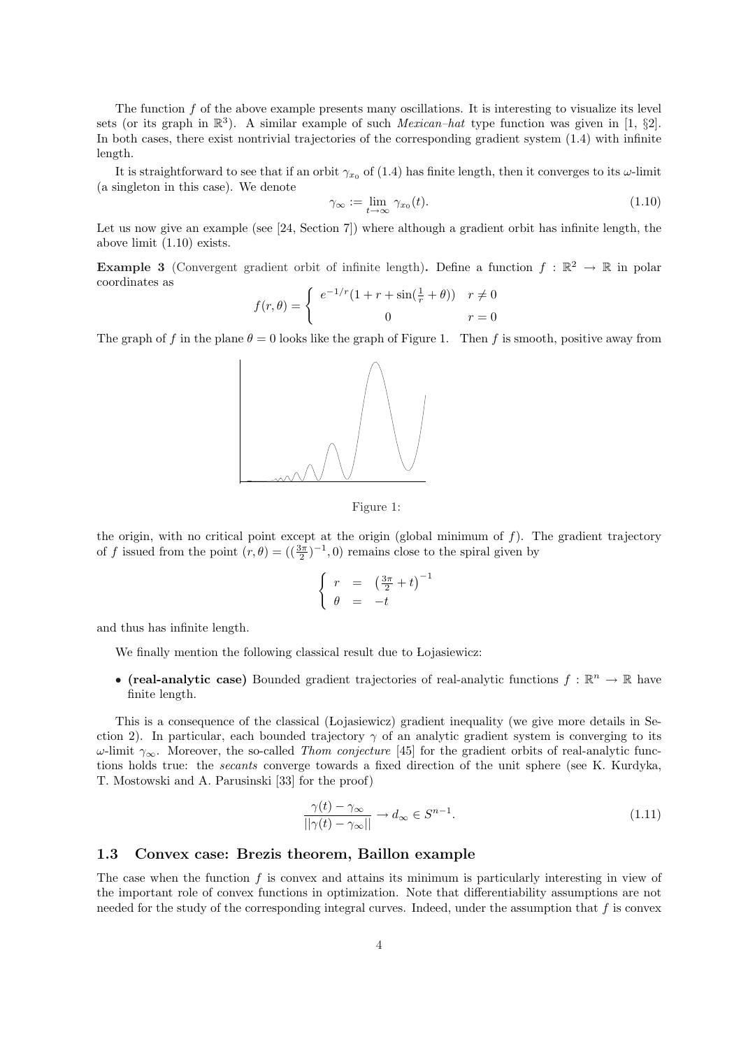The function  $f$  of the above example presents many oscillations. It is interesting to visualize its level sets (or its graph in  $\mathbb{R}^3$ ). A similar example of such *Mexican–hat* type function was given in [1, §2]. In both cases, there exist nontrivial trajectories of the corresponding gradient system (1.4) with infinite length.

It is straightforward to see that if an orbit  $\gamma_{x_0}$  of (1.4) has finite length, then it converges to its  $\omega$ -limit (a singleton in this case). We denote

$$
\gamma_{\infty} := \lim_{t \to \infty} \gamma_{x_0}(t). \tag{1.10}
$$

Let us now give an example (see [24, Section 7]) where although a gradient orbit has infinite length, the above limit (1.10) exists.

**Example 3** (Convergent gradient orbit of infinite length). Define a function  $f : \mathbb{R}^2 \to \mathbb{R}$  in polar coordinates as

$$
f(r, \theta) = \begin{cases} e^{-1/r} (1 + r + \sin(\frac{1}{r} + \theta)) & r \neq 0 \\ 0 & r = 0 \end{cases}
$$

The graph of f in the plane  $\theta = 0$  looks like the graph of Figure 1. Then f is smooth, positive away from



Figure 1:

the origin, with no critical point except at the origin (global minimum of  $f$ ). The gradient trajectory of f issued from the point  $(r, \theta) = ((\frac{3\pi}{2})^{-1}, 0)$  remains close to the spiral given by

$$
\begin{cases}\nr = \left(\frac{3\pi}{2} + t\right)^{-1} \\
\theta = -t\n\end{cases}
$$

and thus has infinite length.

We finally mention the following classical result due to Lojasiewicz:

• (real-analytic case) Bounded gradient trajectories of real-analytic functions  $f : \mathbb{R}^n \to \mathbb{R}$  have finite length.

This is a consequence of the classical (Lojasiewicz) gradient inequality (we give more details in Section 2). In particular, each bounded trajectory  $\gamma$  of an analytic gradient system is converging to its  $ω$ -limit  $γ<sub>∞</sub>$ . Moreover, the so-called *Thom conjecture* [45] for the gradient orbits of real-analytic functions holds true: the secants converge towards a fixed direction of the unit sphere (see K. Kurdyka, T. Mostowski and A. Parusinski [33] for the proof)

$$
\frac{\gamma(t) - \gamma_{\infty}}{||\gamma(t) - \gamma_{\infty}||} \to d_{\infty} \in S^{n-1}.
$$
\n(1.11)

### 1.3 Convex case: Brezis theorem, Baillon example

The case when the function  $f$  is convex and attains its minimum is particularly interesting in view of the important role of convex functions in optimization. Note that differentiability assumptions are not needed for the study of the corresponding integral curves. Indeed, under the assumption that  $f$  is convex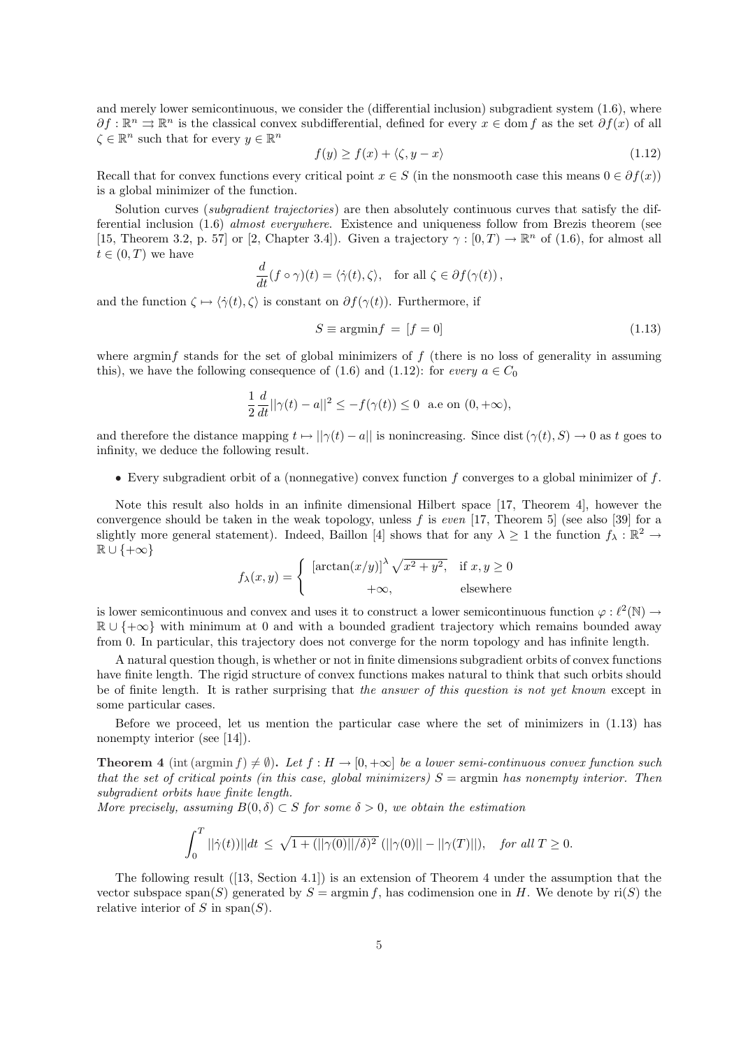and merely lower semicontinuous, we consider the (differential inclusion) subgradient system (1.6), where  $\partial f : \mathbb{R}^n \rightrightarrows \mathbb{R}^n$  is the classical convex subdifferential, defined for every  $x \in \text{dom } f$  as the set  $\partial f(x)$  of all  $\zeta \in \mathbb{R}^n$  such that for every  $y \in \mathbb{R}^n$ 

$$
f(y) \ge f(x) + \langle \zeta, y - x \rangle \tag{1.12}
$$

Recall that for convex functions every critical point  $x \in S$  (in the nonsmooth case this means  $0 \in \partial f(x)$ ) is a global minimizer of the function.

Solution curves *(subgradient trajectories)* are then absolutely continuous curves that satisfy the differential inclusion (1.6) almost everywhere. Existence and uniqueness follow from Brezis theorem (see [15, Theorem 3.2, p. 57] or [2, Chapter 3.4]). Given a trajectory  $\gamma : [0, T) \to \mathbb{R}^n$  of (1.6), for almost all  $t \in (0, T)$  we have

$$
\frac{d}{dt}(f\circ\gamma)(t) = \langle \dot{\gamma}(t), \zeta \rangle, \text{ for all } \zeta \in \partial f(\gamma(t)),
$$

and the function  $\zeta \mapsto \langle \dot{\gamma}(t), \zeta \rangle$  is constant on  $\partial f(\gamma(t))$ . Furthermore, if

$$
S \equiv \operatorname{argmin} f = [f = 0] \tag{1.13}
$$

where argmin $f$  stands for the set of global minimizers of  $f$  (there is no loss of generality in assuming this), we have the following consequence of (1.6) and (1.12): for every  $a \in C_0$ 

$$
\frac{1}{2}\frac{d}{dt}||\gamma(t) - a||^2 \le -f(\gamma(t)) \le 0 \text{ a.e on } (0, +\infty),
$$

and therefore the distance mapping  $t \mapsto ||\gamma(t) - a||$  is nonincreasing. Since dist  $(\gamma(t), S) \to 0$  as t goes to infinity, we deduce the following result.

• Every subgradient orbit of a (nonnegative) convex function  $f$  converges to a global minimizer of  $f$ .

Note this result also holds in an infinite dimensional Hilbert space [17, Theorem 4], however the convergence should be taken in the weak topology, unless f is even [17, Theorem 5] (see also [39] for a slightly more general statement). Indeed, Baillon [4] shows that for any  $\lambda \geq 1$  the function  $f_{\lambda}: \mathbb{R}^2 \to$  $\mathbb{R} \cup \{+\infty\}$ 

$$
f_{\lambda}(x,y) = \begin{cases} [\arctan(x/y)]^{\lambda} \sqrt{x^2 + y^2}, & \text{if } x, y \ge 0 \\ +\infty, & \text{elsewhere} \end{cases}
$$

is lower semicontinuous and convex and uses it to construct a lower semicontinuous function  $\varphi : \ell^2(\mathbb{N}) \to$  $\mathbb{R} \cup \{\pm \infty\}$  with minimum at 0 and with a bounded gradient trajectory which remains bounded away from 0. In particular, this trajectory does not converge for the norm topology and has infinite length.

A natural question though, is whether or not in finite dimensions subgradient orbits of convex functions have finite length. The rigid structure of convex functions makes natural to think that such orbits should be of finite length. It is rather surprising that the answer of this question is not yet known except in some particular cases.

Before we proceed, let us mention the particular case where the set of minimizers in (1.13) has nonempty interior (see [14]).

**Theorem 4** (int (argmin f)  $\neq \emptyset$ ). Let  $f : H \to [0, +\infty]$  be a lower semi-continuous convex function such that the set of critical points (in this case, global minimizers)  $S = \text{argmin}$  has nonempty interior. Then subgradient orbits have finite length.

More precisely, assuming  $B(0, \delta) \subset S$  for some  $\delta > 0$ , we obtain the estimation

$$
\int_0^T ||\dot{\gamma}(t))||dt \le \sqrt{1 + (||\gamma(0)||/\delta)^2} (||\gamma(0)|| - ||\gamma(T)||), \text{ for all } T \ge 0.
$$

The following result ([13, Section 4.1]) is an extension of Theorem 4 under the assumption that the vector subspace span(S) generated by  $S = \operatorname{argmin} f$ , has codimension one in H. We denote by ri(S) the relative interior of S in span $(S)$ .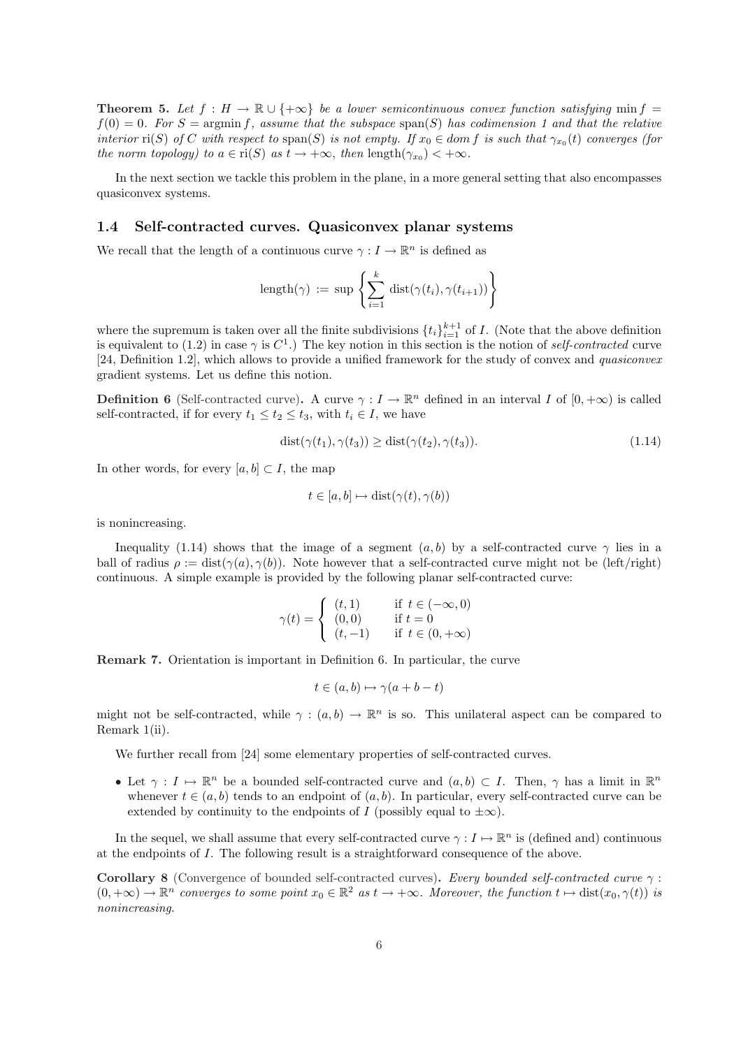**Theorem 5.** Let  $f : H \to \mathbb{R} \cup \{+\infty\}$  be a lower semicontinuous convex function satisfying min f =  $f(0) = 0$ . For  $S = \text{argmin } f$ , assume that the subspace  $\text{span}(S)$  has codimension 1 and that the relative interior  $\text{ri}(S)$  of C with respect to  $\text{span}(S)$  is not empty. If  $x_0 \in dom f$  is such that  $\gamma_{x_0}(t)$  converges (for the norm topology) to  $a \in \text{ri}(S)$  as  $t \to +\infty$ , then  $\text{length}(\gamma_{x_0}) < +\infty$ .

In the next section we tackle this problem in the plane, in a more general setting that also encompasses quasiconvex systems.

#### 1.4 Self-contracted curves. Quasiconvex planar systems

We recall that the length of a continuous curve  $\gamma: I \to \mathbb{R}^n$  is defined as

$$
\operatorname{length}(\gamma) \; := \; \sup \; \left\{ \sum_{i=1}^k \; \operatorname{dist}(\gamma(t_i), \gamma(t_{i+1})) \right\}
$$

where the supremum is taken over all the finite subdivisions  $\{t_i\}_{i=1}^{k+1}$  of I. (Note that the above definition is equivalent to (1.2) in case  $\gamma$  is  $C^1$ .) The key notion in this section is the notion of self-contracted curve [24, Definition 1.2], which allows to provide a unified framework for the study of convex and quasiconvex gradient systems. Let us define this notion.

**Definition 6** (Self-contracted curve). A curve  $\gamma: I \to \mathbb{R}^n$  defined in an interval I of  $[0, +\infty)$  is called self-contracted, if for every  $t_1 \leq t_2 \leq t_3$ , with  $t_i \in I$ , we have

$$
dist(\gamma(t_1), \gamma(t_3)) \geq dist(\gamma(t_2), \gamma(t_3)).
$$
\n(1.14)

In other words, for every  $[a, b] \subset I$ , the map

$$
t \in [a, b] \mapsto \text{dist}(\gamma(t), \gamma(b))
$$

is nonincreasing.

Inequality (1.14) shows that the image of a segment  $(a, b)$  by a self-contracted curve  $\gamma$  lies in a ball of radius  $\rho := \text{dist}(\gamma(a), \gamma(b))$ . Note however that a self-contracted curve might not be (left/right) continuous. A simple example is provided by the following planar self-contracted curve:

$$
\gamma(t) = \begin{cases} (t,1) & \text{if } t \in (-\infty, 0) \\ (0,0) & \text{if } t = 0 \\ (t,-1) & \text{if } t \in (0, +\infty) \end{cases}
$$

Remark 7. Orientation is important in Definition 6. In particular, the curve

$$
t \in (a, b) \mapsto \gamma(a + b - t)
$$

might not be self-contracted, while  $\gamma : (a, b) \to \mathbb{R}^n$  is so. This unilateral aspect can be compared to Remark 1(ii).

We further recall from [24] some elementary properties of self-contracted curves.

• Let  $\gamma: I \mapsto \mathbb{R}^n$  be a bounded self-contracted curve and  $(a, b) \subset I$ . Then,  $\gamma$  has a limit in  $\mathbb{R}^n$ whenever  $t \in (a, b)$  tends to an endpoint of  $(a, b)$ . In particular, every self-contracted curve can be extended by continuity to the endpoints of I (possibly equal to  $\pm \infty$ ).

In the sequel, we shall assume that every self-contracted curve  $\gamma : I \mapsto \mathbb{R}^n$  is (defined and) continuous at the endpoints of I. The following result is a straightforward consequence of the above.

Corollary 8 (Convergence of bounded self-contracted curves). Every bounded self-contracted curve  $\gamma$ :  $(0, +\infty) \to \mathbb{R}^n$  converges to some point  $x_0 \in \mathbb{R}^2$  as  $t \to +\infty$ . Moreover, the function  $t \mapsto \text{dist}(x_0, \gamma(t))$  is nonincreasing.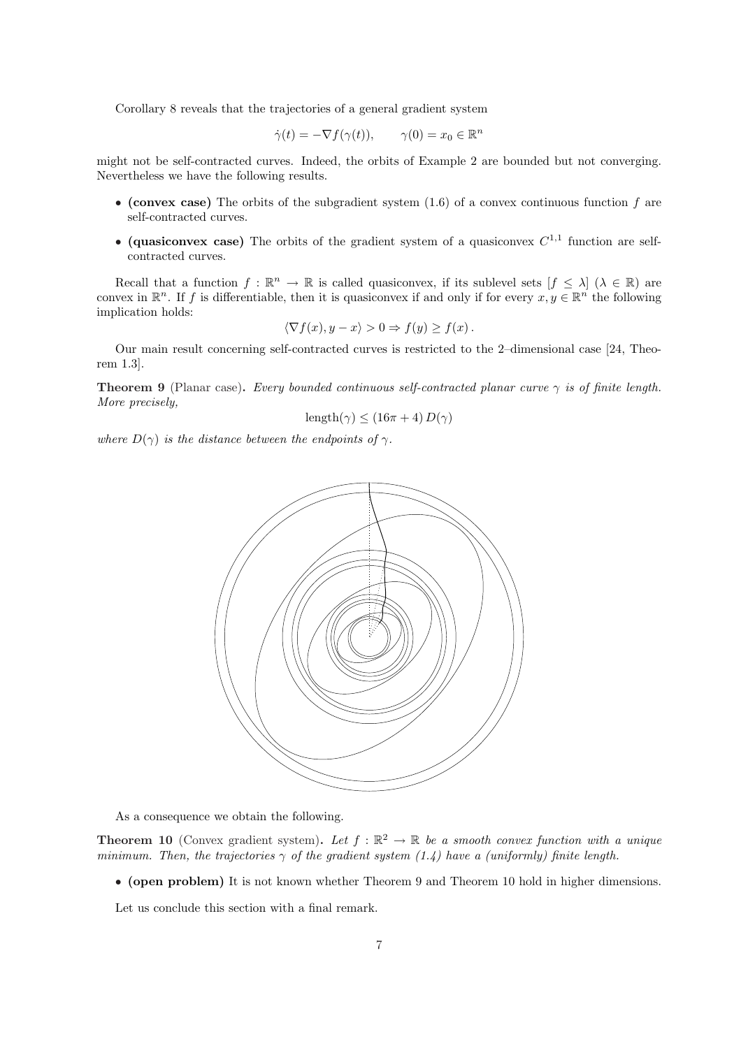Corollary 8 reveals that the trajectories of a general gradient system

$$
\dot{\gamma}(t) = -\nabla f(\gamma(t)), \qquad \gamma(0) = x_0 \in \mathbb{R}^n
$$

might not be self-contracted curves. Indeed, the orbits of Example 2 are bounded but not converging. Nevertheless we have the following results.

- (convex case) The orbits of the subgradient system  $(1.6)$  of a convex continuous function f are self-contracted curves.
- (quasiconvex case) The orbits of the gradient system of a quasiconvex  $C^{1,1}$  function are selfcontracted curves.

Recall that a function  $f : \mathbb{R}^n \to \mathbb{R}$  is called quasiconvex, if its sublevel sets  $[f \leq \lambda]$   $(\lambda \in \mathbb{R})$  are convex in  $\mathbb{R}^n$ . If f is differentiable, then it is quasiconvex if and only if for every  $x, y \in \mathbb{R}^n$  the following implication holds:

$$
\langle \nabla f(x), y - x \rangle > 0 \Rightarrow f(y) \ge f(x) .
$$

Our main result concerning self-contracted curves is restricted to the 2–dimensional case [24, Theorem 1.3].

**Theorem 9** (Planar case). Every bounded continuous self-contracted planar curve  $\gamma$  is of finite length. More precisely,

$$
length(\gamma) \le (16\pi + 4) D(\gamma)
$$

where  $D(\gamma)$  is the distance between the endpoints of  $\gamma$ .



As a consequence we obtain the following.

**Theorem 10** (Convex gradient system). Let  $f : \mathbb{R}^2 \to \mathbb{R}$  be a smooth convex function with a unique minimum. Then, the trajectories  $\gamma$  of the gradient system (1.4) have a (uniformly) finite length.

• (open problem) It is not known whether Theorem 9 and Theorem 10 hold in higher dimensions.

Let us conclude this section with a final remark.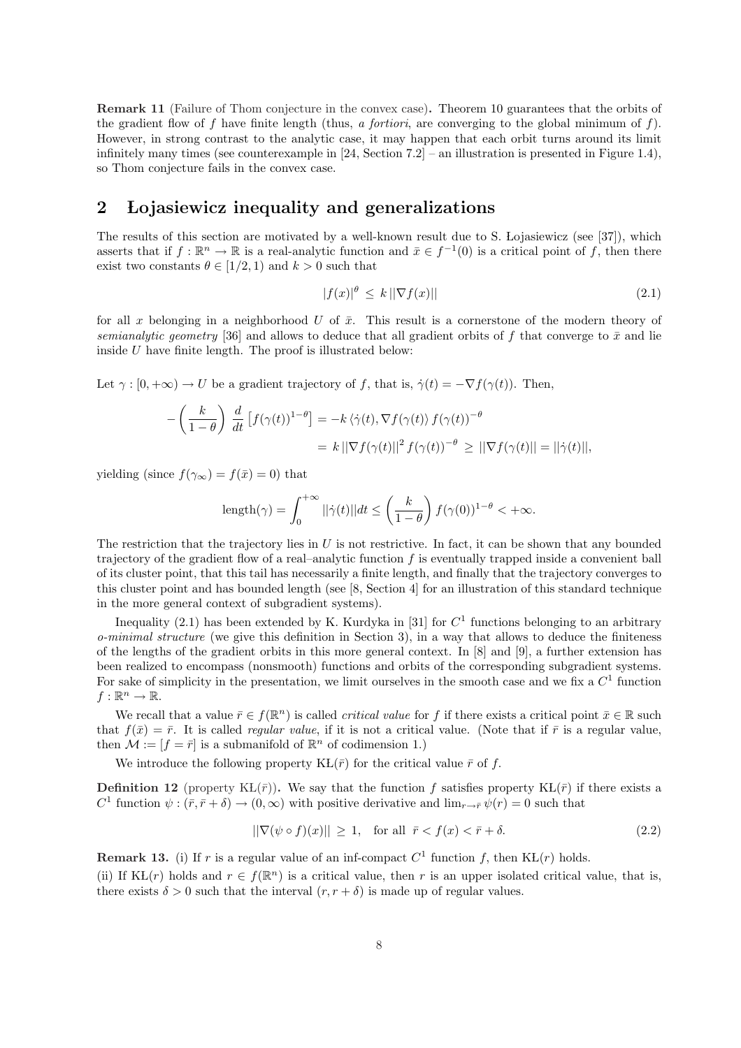Remark 11 (Failure of Thom conjecture in the convex case). Theorem 10 guarantees that the orbits of the gradient flow of f have finite length (thus, a fortiori, are converging to the global minimum of f). However, in strong contrast to the analytic case, it may happen that each orbit turns around its limit infinitely many times (see counterexample in [24, Section 7.2] – an illustration is presented in Figure 1.4), so Thom conjecture fails in the convex case.

## 2 Lojasiewicz inequality and generalizations

The results of this section are motivated by a well-known result due to S. Lojasiewicz (see [37]), which asserts that if  $f : \mathbb{R}^n \to \mathbb{R}$  is a real-analytic function and  $\bar{x} \in f^{-1}(0)$  is a critical point of f, then there exist two constants  $\theta \in [1/2, 1)$  and  $k > 0$  such that

$$
|f(x)|^{\theta} \le k \|\nabla f(x)\| \tag{2.1}
$$

for all x belonging in a neighborhood U of  $\bar{x}$ . This result is a cornerstone of the modern theory of semianalytic geometry [36] and allows to deduce that all gradient orbits of f that converge to  $\bar{x}$  and lie inside  $U$  have finite length. The proof is illustrated below:

Let  $\gamma : [0, +\infty) \to U$  be a gradient trajectory of f, that is,  $\dot{\gamma}(t) = -\nabla f(\gamma(t))$ . Then,

$$
-\left(\frac{k}{1-\theta}\right) \frac{d}{dt} \left[f(\gamma(t))^{1-\theta}\right] = -k \langle \dot{\gamma}(t), \nabla f(\gamma(t)) f(\gamma(t))^{-\theta} = k ||\nabla f(\gamma(t)||^2 f(\gamma(t))^{-\theta} \ge ||\nabla f(\gamma(t)|| = ||\dot{\gamma}(t)||,
$$

yielding (since  $f(\gamma_\infty) = f(\bar{x}) = 0$ ) that

$$
\text{length}(\gamma) = \int_0^{+\infty} ||\dot{\gamma}(t)|| dt \le \left(\frac{k}{1-\theta}\right) f(\gamma(0))^{1-\theta} < +\infty.
$$

The restriction that the trajectory lies in  $U$  is not restrictive. In fact, it can be shown that any bounded trajectory of the gradient flow of a real–analytic function f is eventually trapped inside a convenient ball of its cluster point, that this tail has necessarily a finite length, and finally that the trajectory converges to this cluster point and has bounded length (see [8, Section 4] for an illustration of this standard technique in the more general context of subgradient systems).

Inequality (2.1) has been extended by K. Kurdyka in [31] for  $C<sup>1</sup>$  functions belonging to an arbitrary  $o-minimal structure$  (we give this definition in Section 3), in a way that allows to deduce the finiteness of the lengths of the gradient orbits in this more general context. In [8] and [9], a further extension has been realized to encompass (nonsmooth) functions and orbits of the corresponding subgradient systems. For sake of simplicity in the presentation, we limit ourselves in the smooth case and we fix a  $C<sup>1</sup>$  function  $f:\mathbb{R}^n\to\mathbb{R}.$ 

We recall that a value  $\bar{r} \in f(\mathbb{R}^n)$  is called *critical value* for f if there exists a critical point  $\bar{x} \in \mathbb{R}$  such that  $f(\bar{x}) = \bar{r}$ . It is called *regular value*, if it is not a critical value. (Note that if  $\bar{r}$  is a regular value, then  $\mathcal{M} := [f = \overline{r}]$  is a submanifold of  $\mathbb{R}^n$  of codimension 1.)

We introduce the following property  $KL(\bar{r})$  for the critical value  $\bar{r}$  of f.

**Definition 12** (property KL $(\bar{r})$ ). We say that the function f satisfies property KL $(\bar{r})$  if there exists a C<sup>1</sup> function  $\psi : (\bar{r}, \bar{r} + \delta) \to (0, \infty)$  with positive derivative and  $\lim_{r \to \bar{r}} \psi(r) = 0$  such that

$$
\|\nabla(\psi \circ f)(x)\| \ge 1, \quad \text{for all } \bar{r} < f(x) < \bar{r} + \delta. \tag{2.2}
$$

**Remark 13.** (i) If r is a regular value of an inf-compact  $C^1$  function f, then KL(r) holds.

(ii) If KL(r) holds and  $r \in f(\mathbb{R}^n)$  is a critical value, then r is an upper isolated critical value, that is, there exists  $\delta > 0$  such that the interval  $(r, r + \delta)$  is made up of regular values.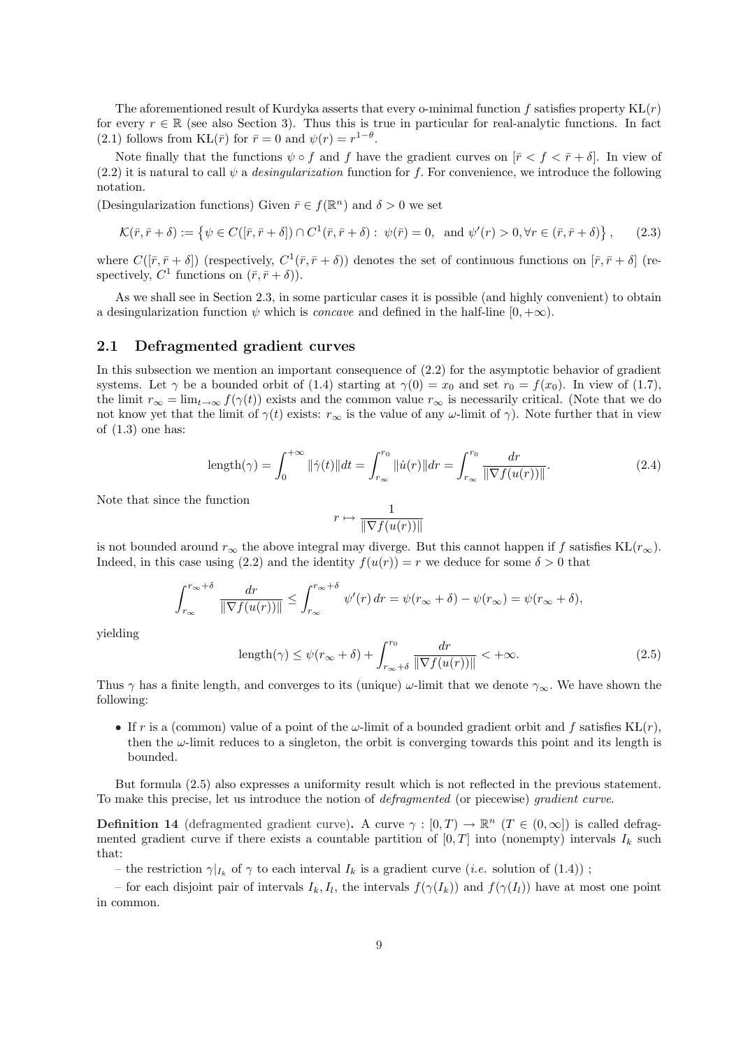The aforementioned result of Kurdyka asserts that every o-minimal function f satisfies property  $KL(r)$ for every  $r \in \mathbb{R}$  (see also Section 3). Thus this is true in particular for real-analytic functions. In fact (2.1) follows from  $KL(\bar{r})$  for  $\bar{r} = 0$  and  $\psi(r) = r^{1-\theta}$ .

Note finally that the functions  $\psi \circ f$  and f have the gradient curves on  $[\bar{r} < f < \bar{r} + \delta]$ . In view of (2.2) it is natural to call  $\psi$  a *desingularization* function for f. For convenience, we introduce the following notation.

(Desingularization functions) Given  $\bar{r} \in f(\mathbb{R}^n)$  and  $\delta > 0$  we set

$$
\mathcal{K}(\bar{r}, \bar{r} + \delta) := \left\{ \psi \in C([\bar{r}, \bar{r} + \delta]) \cap C^1(\bar{r}, \bar{r} + \delta) : \psi(\bar{r}) = 0, \text{ and } \psi'(r) > 0, \forall r \in (\bar{r}, \bar{r} + \delta) \right\},\tag{2.3}
$$

where  $C([\bar{r}, \bar{r}+\delta])$  (respectively,  $C^1(\bar{r}, \bar{r}+\delta)$ ) denotes the set of continuous functions on  $[\bar{r}, \bar{r}+\delta]$  (respectively,  $C^1$  functions on  $(\bar{r}, \bar{r} + \delta)$ ).

As we shall see in Section 2.3, in some particular cases it is possible (and highly convenient) to obtain a desingularization function  $\psi$  which is *concave* and defined in the half-line  $[0, +\infty)$ .

#### 2.1 Defragmented gradient curves

In this subsection we mention an important consequence of (2.2) for the asymptotic behavior of gradient systems. Let  $\gamma$  be a bounded orbit of (1.4) starting at  $\gamma(0) = x_0$  and set  $r_0 = f(x_0)$ . In view of (1.7), the limit  $r_{\infty} = \lim_{t \to \infty} f(\gamma(t))$  exists and the common value  $r_{\infty}$  is necessarily critical. (Note that we do not know yet that the limit of  $\gamma(t)$  exists:  $r_{\infty}$  is the value of any  $\omega$ -limit of  $\gamma$ ). Note further that in view of  $(1.3)$  one has:

$$
\text{length}(\gamma) = \int_0^{+\infty} \|\dot{\gamma}(t)\| dt = \int_{r_{\infty}}^{r_0} \|\dot{u}(r)\| dr = \int_{r_{\infty}}^{r_0} \frac{dr}{\|\nabla f(u(r))\|}.
$$
 (2.4)

Note that since the function

$$
r\mapsto \frac{1}{\|\nabla f(u(r))\|}
$$

is not bounded around  $r_{\infty}$  the above integral may diverge. But this cannot happen if f satisfies KL( $r_{\infty}$ ). Indeed, in this case using (2.2) and the identity  $f(u(r)) = r$  we deduce for some  $\delta > 0$  that

$$
\int_{r_{\infty}}^{r_{\infty}+\delta} \frac{dr}{\|\nabla f(u(r))\|} \leq \int_{r_{\infty}}^{r_{\infty}+\delta} \psi'(r) dr = \psi(r_{\infty}+\delta) - \psi(r_{\infty}) = \psi(r_{\infty}+\delta),
$$

yielding

$$
length(\gamma) \le \psi(r_{\infty} + \delta) + \int_{r_{\infty} + \delta}^{r_0} \frac{dr}{\|\nabla f(u(r))\|} < +\infty.
$$
\n(2.5)

Thus  $\gamma$  has a finite length, and converges to its (unique)  $\omega$ -limit that we denote  $\gamma_{\infty}$ . We have shown the following:

• If r is a (common) value of a point of the  $\omega$ -limit of a bounded gradient orbit and f satisfies KL(r), then the  $\omega$ -limit reduces to a singleton, the orbit is converging towards this point and its length is bounded.

But formula (2.5) also expresses a uniformity result which is not reflected in the previous statement. To make this precise, let us introduce the notion of defragmented (or piecewise) gradient curve.

**Definition 14** (defragmented gradient curve). A curve  $\gamma : [0, T) \to \mathbb{R}^n$  ( $T \in (0, \infty]$ ) is called defragmented gradient curve if there exists a countable partition of  $[0, T]$  into (nonempty) intervals  $I_k$  such that:

– the restriction  $\gamma|_{I_k}$  of  $\gamma$  to each interval  $I_k$  is a gradient curve (*i.e.* solution of (1.4));

– for each disjoint pair of intervals  $I_k, I_l$ , the intervals  $f(\gamma(I_k))$  and  $f(\gamma(I_l))$  have at most one point in common.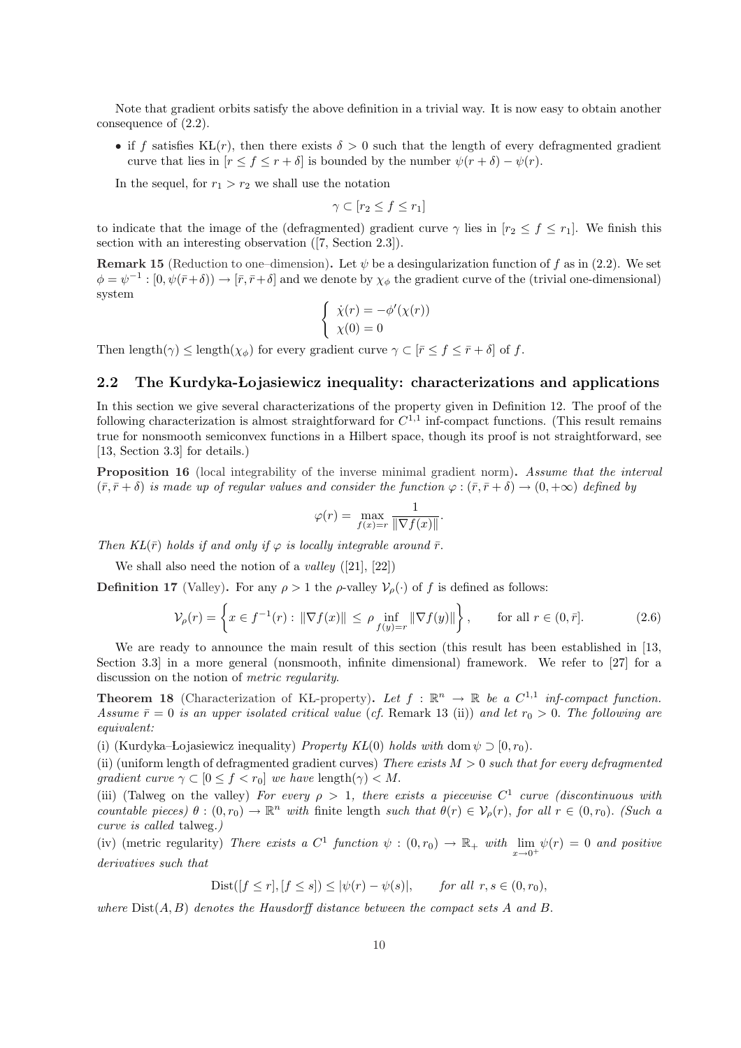Note that gradient orbits satisfy the above definition in a trivial way. It is now easy to obtain another consequence of (2.2).

• if f satisfies KL(r), then there exists  $\delta > 0$  such that the length of every defragmented gradient curve that lies in  $[r \leq f \leq r + \delta]$  is bounded by the number  $\psi(r + \delta) - \psi(r)$ .

In the sequel, for  $r_1 > r_2$  we shall use the notation

$$
\gamma \subset [r_2 \le f \le r_1]
$$

to indicate that the image of the (defragmented) gradient curve  $\gamma$  lies in  $[r_2 \leq f \leq r_1]$ . We finish this section with an interesting observation ([7, Section 2.3]).

Remark 15 (Reduction to one–dimension). Let  $\psi$  be a desingularization function of f as in (2.2). We set  $\phi = \psi^{-1} : [0, \psi(\bar{r}+\delta)) \to [\bar{r}, \bar{r}+\delta]$  and we denote by  $\chi_{\phi}$  the gradient curve of the (trivial one-dimensional) system  $\overline{a}$ 

$$
\begin{cases} \dot{\chi}(r) = -\phi'(\chi(r)) \\ \chi(0) = 0 \end{cases}
$$

Then length( $\gamma$ )  $\leq$  length( $\chi_{\phi}$ ) for every gradient curve  $\gamma \subset [\bar{r} \leq f \leq \bar{r} + \delta]$  of f.

### 2.2 The Kurdyka-Łojasiewicz inequality: characterizations and applications

In this section we give several characterizations of the property given in Definition 12. The proof of the following characterization is almost straightforward for  $C^{1,1}$  inf-compact functions. (This result remains true for nonsmooth semiconvex functions in a Hilbert space, though its proof is not straightforward, see [13, Section 3.3] for details.)

Proposition 16 (local integrability of the inverse minimal gradient norm). Assume that the interval  $(\bar{r}, \bar{r} + \delta)$  is made up of regular values and consider the function  $\varphi : (\bar{r}, \bar{r} + \delta) \to (0, +\infty)$  defined by

$$
\varphi(r) = \max_{f(x)=r} \frac{1}{\|\nabla f(x)\|}.
$$

Then  $KL(\bar{r})$  holds if and only if  $\varphi$  is locally integrable around  $\bar{r}$ .

We shall also need the notion of a *valley*  $([21], [22])$ 

**Definition 17** (Valley). For any  $\rho > 1$  the  $\rho$ -valley  $V_{\rho}(\cdot)$  of f is defined as follows:

$$
\mathcal{V}_{\rho}(r) = \left\{ x \in f^{-1}(r) : \|\nabla f(x)\| \le \rho \inf_{f(y) = r} \|\nabla f(y)\| \right\}, \quad \text{for all } r \in (0, \bar{r}].
$$
 (2.6)

We are ready to announce the main result of this section (this result has been established in [13, Section 3.3 in a more general (nonsmooth, infinite dimensional) framework. We refer to [27] for a discussion on the notion of metric regularity.

**Theorem 18** (Characterization of KL-property). Let  $f : \mathbb{R}^n \to \mathbb{R}$  be a  $C^{1,1}$  inf-compact function. Assume  $\bar{r}=0$  is an upper isolated critical value (cf. Remark 13 (ii)) and let  $r_0 > 0$ . The following are equivalent:

(i) (Kurdyka–Łojasiewicz inequality) *Property KŁ*(0) holds with dom  $\psi \supset [0, r_0)$ .

(ii) (uniform length of defragmented gradient curves) There exists  $M > 0$  such that for every defragmented gradient curve  $\gamma \subset [0 \leq f < r_0]$  we have length $(\gamma) < M$ .

(iii) (Talweg on the valley) For every  $\rho > 1$ , there exists a piecewise  $C^1$  curve (discontinuous with countable pieces)  $\theta : (0, r_0) \to \mathbb{R}^n$  with finite length such that  $\theta(r) \in V_\rho(r)$ , for all  $r \in (0, r_0)$ . (Such a curve is called talweg.)

(iv) (metric regularity) There exists a  $C^1$  function  $\psi : (0, r_0) \to \mathbb{R}_+$  with  $\lim_{x\to 0^+} \psi(r) = 0$  and positive derivatives such that

$$
Dist([f \le r], [f \le s]) \le |\psi(r) - \psi(s)|, \quad \text{for all } r, s \in (0, r_0),
$$

where  $Dist(A, B)$  denotes the Hausdorff distance between the compact sets A and B.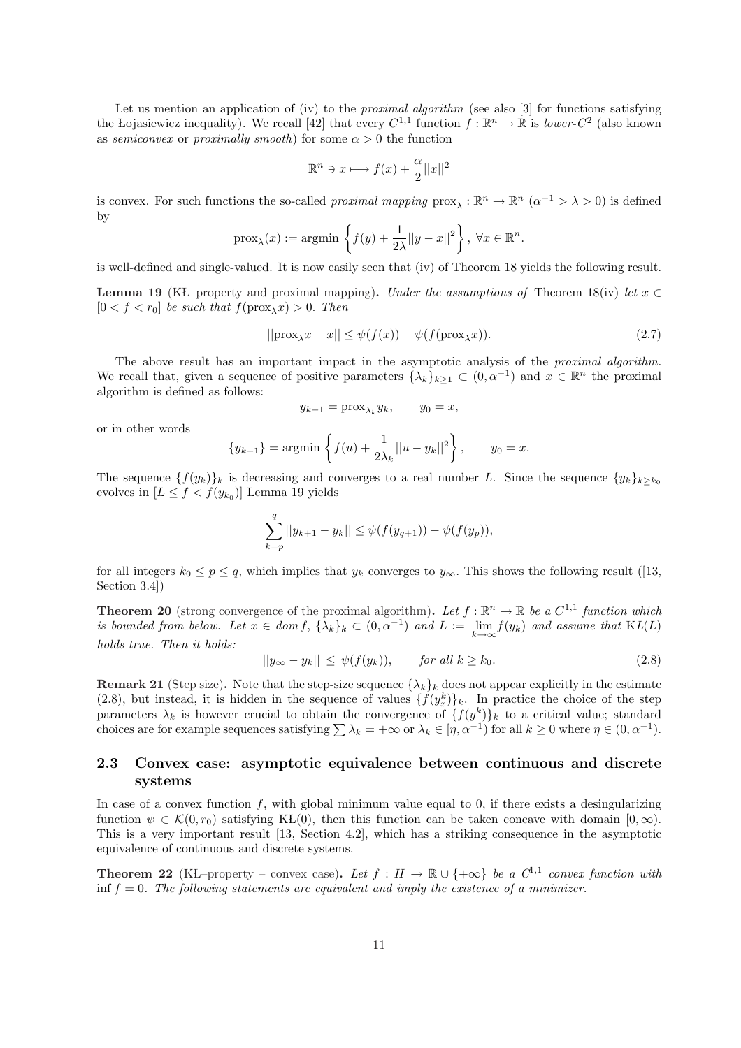Let us mention an application of (iv) to the *proximal algorithm* (see also  $\lceil 3 \rceil$  for functions satisfying the Lojasiewicz inequality). We recall [42] that every  $C^{1,1}$  function  $f : \mathbb{R}^n \to \mathbb{R}$  is lower- $C^2$  (also known as semiconvex or proximally smooth) for some  $\alpha > 0$  the function

$$
\mathbb{R}^n \ni x \longmapsto f(x) + \frac{\alpha}{2} ||x||^2
$$

is convex. For such functions the so-called *proximal mapping*  $\text{prox}_{\lambda}: \mathbb{R}^n \to \mathbb{R}^n \ (\alpha^{-1} > \lambda > 0)$  is defined by  $\ddot{\phantom{0}}$ 

$$
\text{prox}_{\lambda}(x) := \text{argmin} \left\{ f(y) + \frac{1}{2\lambda} ||y - x||^2 \right\}, \ \forall x \in \mathbb{R}^n.
$$

is well-defined and single-valued. It is now easily seen that (iv) of Theorem 18 yields the following result.

**Lemma 19** (KŁ–property and proximal mapping). Under the assumptions of Theorem 18(iv) let  $x \in \mathbb{R}$  $[0 < f < r_0]$  be such that  $f(\text{prox}_{\lambda} x) > 0$ . Then

$$
||\text{prox}_{\lambda}x - x|| \le \psi(f(x)) - \psi(f(\text{prox}_{\lambda}x)). \tag{2.7}
$$

The above result has an important impact in the asymptotic analysis of the *proximal algorithm*. We recall that, given a sequence of positive parameters  $\{\lambda_k\}_{k\geq 1} \subset (0, \alpha^{-1})$  and  $x \in \mathbb{R}^n$  the proximal algorithm is defined as follows:

$$
y_{k+1} = \text{prox}_{\lambda_k} y_k, \qquad y_0 = x,
$$

or in other words

$$
\{y_{k+1}\} = \operatorname{argmin} \left\{ f(u) + \frac{1}{2\lambda_k} ||u - y_k||^2 \right\}, \qquad y_0 = x.
$$

The sequence  ${f(y_k)}_k$  is decreasing and converges to a real number L. Since the sequence  ${y_k}_{k\geq k_0}$ evolves in  $[L \leq f < f(y_{k_0})]$  Lemma 19 yields

$$
\sum_{k=p}^{q} ||y_{k+1} - y_k|| \leq \psi(f(y_{q+1})) - \psi(f(y_p)),
$$

for all integers  $k_0 \leq p \leq q$ , which implies that  $y_k$  converges to  $y_\infty$ . This shows the following result ([13, Section 3.4])

**Theorem 20** (strong convergence of the proximal algorithm). Let  $f : \mathbb{R}^n \to \mathbb{R}$  be a  $C^{1,1}$  function which is bounded from below. Let  $x \in dom f$ ,  $\{\lambda_k\}_k \subset (0, \alpha^{-1})$  and  $L := \lim_{k \to \infty} f(y_k)$  and assume that  $\text{KL}(L)$ holds true. Then it holds:

$$
||y_{\infty} - y_k|| \le \psi(f(y_k)), \quad \text{for all } k \ge k_0. \tag{2.8}
$$

**Remark 21** (Step size). Note that the step-size sequence  $\{\lambda_k\}_k$  does not appear explicitly in the estimate (2.8), but instead, it is hidden in the sequence of values  $\{f(y_x^k)\}_k$ . In practice the choice of the step parameters  $\lambda_k$  is however crucial to obtain the convergence of  $\{f(y^k)\}_k$  to a critical value; standard parameters  $\lambda_k$  is nowever crucial to obtain the convergence of  $\{f(y^r)\}_k$  to a critical value; standard choices are for example sequences satisfying  $\sum \lambda_k = +\infty$  or  $\lambda_k \in [\eta, \alpha^{-1})$  for all  $k \ge 0$  where  $\eta \in (0, \alpha^{-1})$ .

## 2.3 Convex case: asymptotic equivalence between continuous and discrete systems

In case of a convex function  $f$ , with global minimum value equal to 0, if there exists a desingularizing function  $\psi \in \mathcal{K}(0,r_0)$  satisfying KL(0), then this function can be taken concave with domain  $[0,\infty)$ . This is a very important result [13, Section 4.2], which has a striking consequence in the asymptotic equivalence of continuous and discrete systems.

**Theorem 22** (KL–property – convex case). Let  $f : H \to \mathbb{R} \cup \{+\infty\}$  be a  $C^{1,1}$  convex function with inf  $f = 0$ . The following statements are equivalent and imply the existence of a minimizer.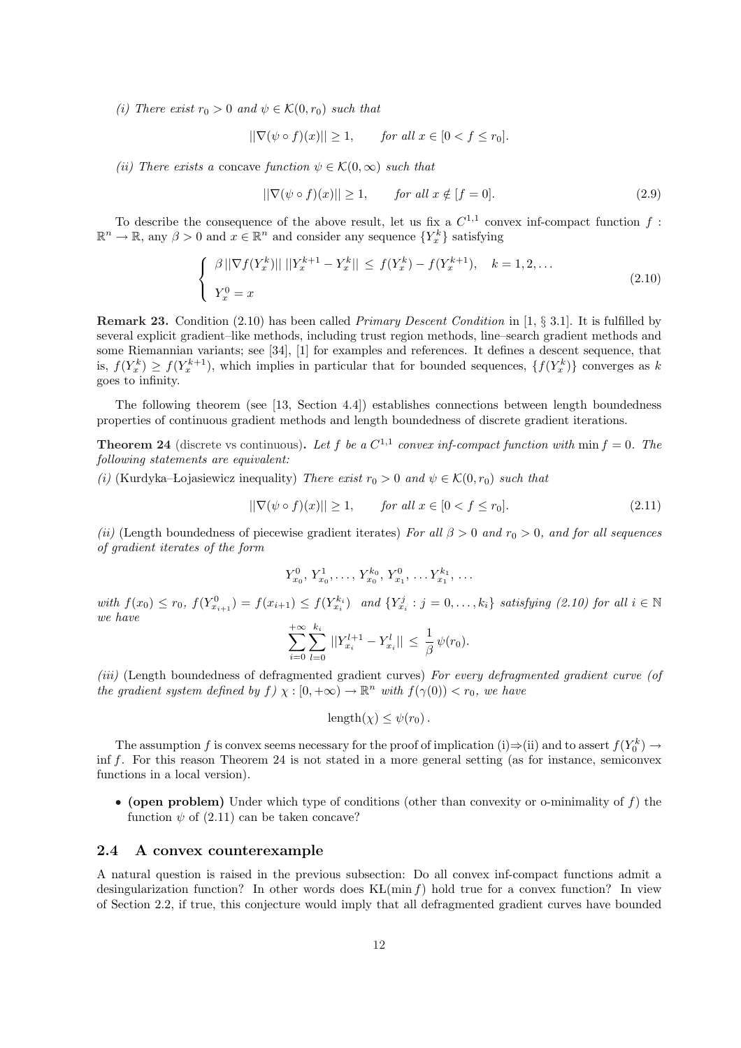(i) There exist  $r_0 > 0$  and  $\psi \in \mathcal{K}(0,r_0)$  such that

$$
||\nabla(\psi \circ f)(x)|| \ge 1, \quad \text{for all } x \in [0 < f \le r_0].
$$

(ii) There exists a concave function  $\psi \in \mathcal{K}(0,\infty)$  such that

$$
\|\nabla(\psi \circ f)(x)\| \ge 1, \qquad \text{for all } x \notin [f = 0].\tag{2.9}
$$

To describe the consequence of the above result, let us fix a  $C^{1,1}$  convex inf-compact function f:  $\mathbb{R}^n \to \mathbb{R}$ , any  $\beta > 0$  and  $x \in \mathbb{R}^n$  and consider any sequence  $\{Y_x^k\}$  satisfying

$$
\begin{cases} \beta \|\nabla f(Y_x^k)\| \|Y_x^{k+1} - Y_x^k\| \le f(Y_x^k) - f(Y_x^{k+1}), & k = 1, 2, ...\\ Y_x^0 = x \end{cases}
$$
\n(2.10)

**Remark 23.** Condition (2.10) has been called *Primary Descent Condition* in [1,  $\S 3.1$ ]. It is fulfilled by several explicit gradient–like methods, including trust region methods, line–search gradient methods and some Riemannian variants; see [34], [1] for examples and references. It defines a descent sequence, that is,  $f(Y_x^k) \ge f(Y_x^{k+1})$ , which implies in particular that for bounded sequences,  $\{f(Y_x^k)\}\$ converges as k goes to infinity.

The following theorem (see [13, Section 4.4]) establishes connections between length boundedness properties of continuous gradient methods and length boundedness of discrete gradient iterations.

**Theorem 24** (discrete vs continuous). Let f be a  $C^{1,1}$  convex inf-compact function with min  $f = 0$ . The following statements are equivalent:

(i) (Kurdyka–Łojasiewicz inequality) There exist  $r_0 > 0$  and  $\psi \in \mathcal{K}(0, r_0)$  such that

$$
\|\nabla(\psi \circ f)(x)\| \ge 1, \qquad \text{for all } x \in [0 < f \le r_0].\tag{2.11}
$$

(ii) (Length boundedness of piecewise gradient iterates) For all  $\beta > 0$  and  $r_0 > 0$ , and for all sequences of gradient iterates of the form

 $Y_{x_0}^0, Y_{x_0}^1, \ldots, Y_{x_0}^{k_0}, Y_{x_1}^0, \ldots, Y_{x_1}^{k_1}, \ldots$ 

with  $f(x_0) \le r_0$ ,  $f(Y_{x_{i+1}}^0) = f(x_{i+1}) \le f(Y_{x_i}^{k_i})$  and  $\{Y_{x_i}^j : j = 0, ..., k_i\}$  satisfying (2.10) for all  $i \in \mathbb{N}$ we have

$$
\sum_{i=0}^{+\infty} \sum_{l=0}^{k_i} ||Y_{x_i}^{l+1} - Y_{x_i}^l|| \leq \frac{1}{\beta} \psi(r_0).
$$

(iii) (Length boundedness of defragmented gradient curves) For every defragmented gradient curve (of the gradient system defined by  $f(x) \to (0, +\infty) \to \mathbb{R}^n$  with  $f(\gamma(0)) < r_0$ , we have

$$
length(\chi) \leq \psi(r_0).
$$

The assumption f is convex seems necessary for the proof of implication (i) $\Rightarrow$ (ii) and to assert  $f(Y_0^k) \rightarrow$ inf f. For this reason Theorem 24 is not stated in a more general setting (as for instance, semiconvex functions in a local version).

• (open problem) Under which type of conditions (other than convexity or o-minimality of  $f$ ) the function  $\psi$  of (2.11) can be taken concave?

#### 2.4 A convex counterexample

A natural question is raised in the previous subsection: Do all convex inf-compact functions admit a desingularization function? In other words does  $KL(\min f)$  hold true for a convex function? In view of Section 2.2, if true, this conjecture would imply that all defragmented gradient curves have bounded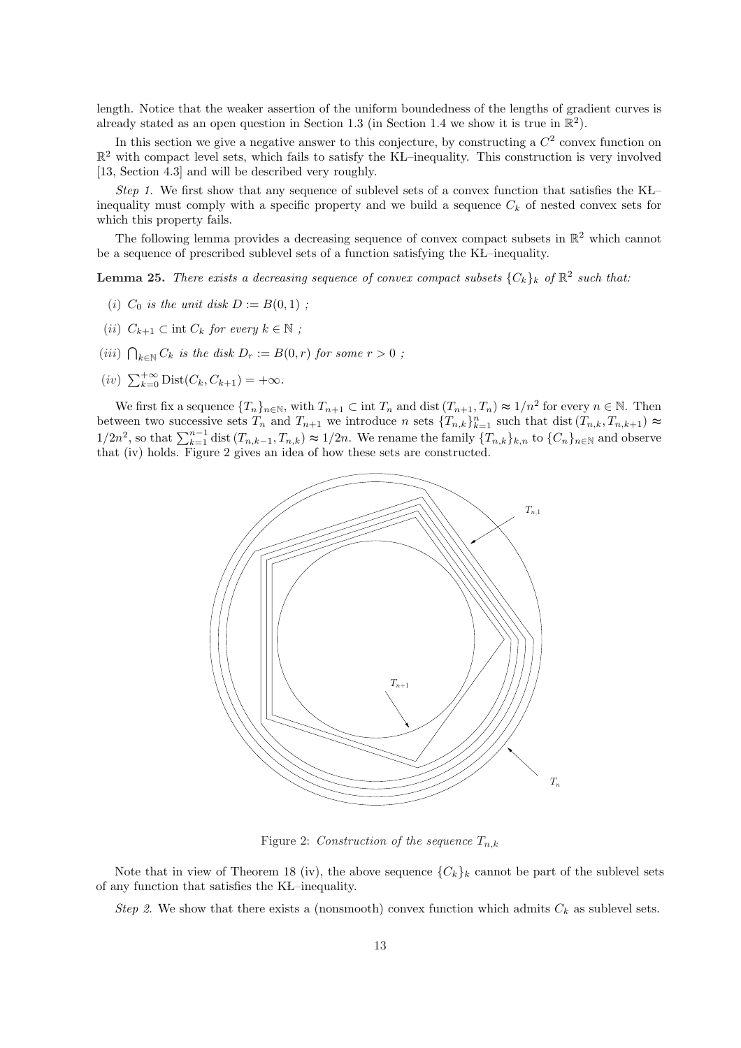length. Notice that the weaker assertion of the uniform boundedness of the lengths of gradient curves is already stated as an open question in Section 1.3 (in Section 1.4 we show it is true in  $\mathbb{R}^2$ ).

In this section we give a negative answer to this conjecture, by constructing a  $C<sup>2</sup>$  convex function on  $\mathbb{R}^2$  with compact level sets, which fails to satisfy the KL–inequality. This construction is very involved [13, Section 4.3] and will be described very roughly.

Step 1. We first show that any sequence of sublevel sets of a convex function that satisfies the  $KL$ inequality must comply with a specific property and we build a sequence  $C_k$  of nested convex sets for which this property fails.

The following lemma provides a decreasing sequence of convex compact subsets in  $\mathbb{R}^2$  which cannot be a sequence of prescribed sublevel sets of a function satisfying the KL–inequality.

**Lemma 25.** There exists a decreasing sequence of convex compact subsets  $\{C_k\}_k$  of  $\mathbb{R}^2$  such that:

- (i)  $C_0$  is the unit disk  $D := B(0, 1)$ ;
- (ii)  $C_{k+1} \subset \text{int } C_k$  for every  $k \in \mathbb{N}$ ;
- (iii)  $\bigcap_{k \in \mathbb{N}} C_k$  is the disk  $D_r := B(0,r)$  for some  $r > 0$ ;
- $(iv)$   $\sum_{k=0}^{+\infty} \text{Dist}(C_k, C_{k+1}) = +\infty.$

We first fix a sequence  $\{T_n\}_{n\in\mathbb{N}}$ , with  $T_{n+1}\subset \text{int } T_n$  and dist  $(T_{n+1}, T_n) \approx 1/n^2$  for every  $n \in \mathbb{N}$ . Then between two successive sets  $T_n$  and  $T_{n+1}$  we introduce n sets  $\{T_{n,k}\}_{k=1}^n$  such that dist  $(T_{n,k}, T_{n,k+1}) \approx$ between two successive sets  $T_n$  and  $T_{n+1}$  we introduce *n* sets  $T_{n,k}T_{k}=1$  such that dist  $(T_{n,k}, T_{n,k+1}) \approx$   $1/2n^2$ , so that  $\sum_{k=1}^{n-1}$  dist  $(T_{n,k-1}, T_{n,k}) \approx 1/2n$ . We rename the family  $\{T_{n,k}\}_{k,n}$  to  $\{C_n\}_{n\$ that (iv) holds. Figure 2 gives an idea of how these sets are constructed.



Figure 2: Construction of the sequence  $T_{n,k}$ 

Note that in view of Theorem 18 (iv), the above sequence  ${C_k}_k$  cannot be part of the sublevel sets of any function that satisfies the KŁ–inequality.

Step 2. We show that there exists a (nonsmooth) convex function which admits  $C_k$  as sublevel sets.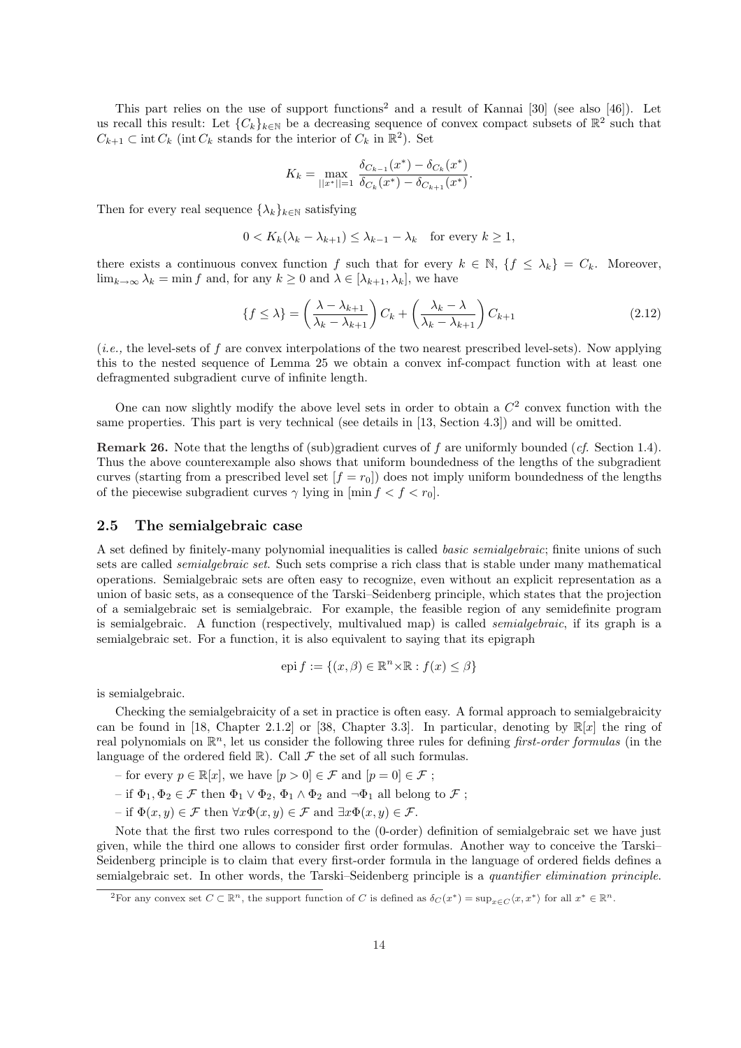This part relies on the use of support functions<sup>2</sup> and a result of Kannai [30] (see also [46]). Let us recall this result: Let  ${C_k}_{k\in\mathbb{N}}$  be a decreasing sequence of convex compact subsets of  $\mathbb{R}^2$  such that  $C_{k+1} \subset \text{int } C_k$  (int  $C_k$  stands for the interior of  $C_k$  in  $\mathbb{R}^2$ ). Set

$$
K_k = \max_{||x^*||=1} \frac{\delta_{C_{k-1}}(x^*) - \delta_{C_k}(x^*)}{\delta_{C_k}(x^*) - \delta_{C_{k+1}}(x^*)}.
$$

Then for every real sequence  $\{\lambda_k\}_{k\in\mathbb{N}}$  satisfying

$$
0 < K_k(\lambda_k - \lambda_{k+1}) \le \lambda_{k-1} - \lambda_k \quad \text{for every } k \ge 1,
$$

there exists a continuous convex function f such that for every  $k \in \mathbb{N}$ ,  $\{f \leq \lambda_k\} = C_k$ . Moreover,  $\lim_{k\to\infty}\lambda_k = \min f$  and, for any  $k\geq 0$  and  $\lambda \in [\lambda_{k+1}, \lambda_k]$ , we have

$$
\{f \le \lambda\} = \left(\frac{\lambda - \lambda_{k+1}}{\lambda_k - \lambda_{k+1}}\right)C_k + \left(\frac{\lambda_k - \lambda}{\lambda_k - \lambda_{k+1}}\right)C_{k+1}
$$
\n(2.12)

(i.e., the level-sets of f are convex interpolations of the two nearest prescribed level-sets). Now applying this to the nested sequence of Lemma 25 we obtain a convex inf-compact function with at least one defragmented subgradient curve of infinite length.

One can now slightly modify the above level sets in order to obtain a  $C<sup>2</sup>$  convex function with the same properties. This part is very technical (see details in [13, Section 4.3]) and will be omitted.

Remark 26. Note that the lengths of (sub)gradient curves of f are uniformly bounded (cf. Section 1.4). Thus the above counterexample also shows that uniform boundedness of the lengths of the subgradient curves (starting from a prescribed level set  $[f = r_0]$ ) does not imply uniform boundedness of the lengths of the piecewise subgradient curves  $\gamma$  lying in  $[\min f < f < r_0]$ .

### 2.5 The semialgebraic case

A set defined by finitely-many polynomial inequalities is called basic semialgebraic; finite unions of such sets are called semialgebraic set. Such sets comprise a rich class that is stable under many mathematical operations. Semialgebraic sets are often easy to recognize, even without an explicit representation as a union of basic sets, as a consequence of the Tarski–Seidenberg principle, which states that the projection of a semialgebraic set is semialgebraic. For example, the feasible region of any semidefinite program is semialgebraic. A function (respectively, multivalued map) is called semialgebraic, if its graph is a semialgebraic set. For a function, it is also equivalent to saying that its epigraph

$$
epi f := \{(x, \beta) \in \mathbb{R}^n \times \mathbb{R} : f(x) \le \beta\}
$$

is semialgebraic.

Checking the semialgebraicity of a set in practice is often easy. A formal approach to semialgebraicity can be found in [18, Chapter 2.1.2] or [38, Chapter 3.3]. In particular, denoting by  $\mathbb{R}[x]$  the ring of real polynomials on  $\mathbb{R}^n$ , let us consider the following three rules for defining *first-order formulas* (in the language of the ordered field  $\mathbb R).$  Call  $\mathcal F$  the set of all such formulas.

- for every  $p \in \mathbb{R}[x]$ , we have  $[p > 0] \in \mathcal{F}$  and  $[p = 0] \in \mathcal{F}$ ;
- if  $\Phi_1, \Phi_2 \in \mathcal{F}$  then  $\Phi_1 \vee \Phi_2$ ,  $\Phi_1 \wedge \Phi_2$  and  $\neg \Phi_1$  all belong to  $\mathcal{F}$ ;
- if Φ(x, y) ∈ F then ∀xΦ(x, y) ∈ F and ∃xΦ(x, y) ∈ F.

Note that the first two rules correspond to the (0-order) definition of semialgebraic set we have just given, while the third one allows to consider first order formulas. Another way to conceive the Tarski– Seidenberg principle is to claim that every first-order formula in the language of ordered fields defines a semialgebraic set. In other words, the Tarski–Seidenberg principle is a quantifier elimination principle.

<sup>&</sup>lt;sup>2</sup>For any convex set  $C \subset \mathbb{R}^n$ , the support function of C is defined as  $\delta_C(x^*) = \sup_{x \in C} \langle x, x^* \rangle$  for all  $x^* \in \mathbb{R}^n$ .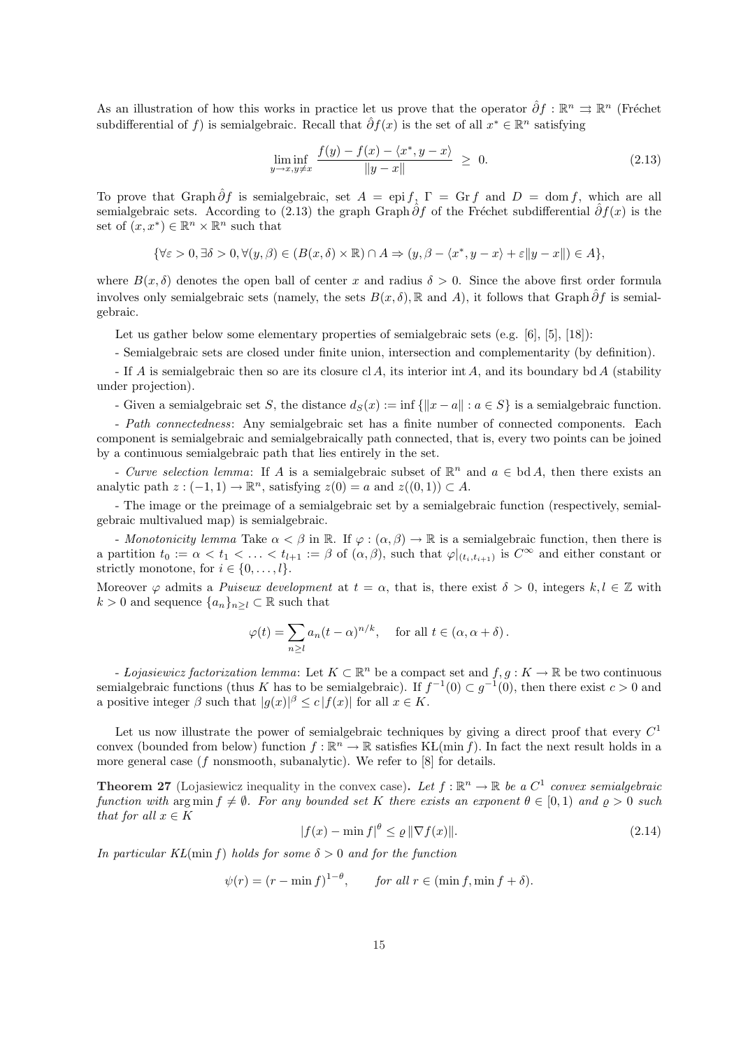As an illustration of how this works in practice let us prove that the operator  $\hat{\partial} f : \mathbb{R}^n \implies \mathbb{R}^n$  (Fréchet subdifferential of f) is semialgebraic. Recall that  $\hat{\partial}f(x)$  is the set of all  $x^* \in \mathbb{R}^n$  satisfying

$$
\liminf_{y \to x, y \neq x} \frac{f(y) - f(x) - \langle x^*, y - x \rangle}{\|y - x\|} \ge 0.
$$
\n(2.13)

To prove that Graph  $\hat{\partial}f$  is semialgebraic, set  $A = \text{epi } f$ ,  $\Gamma = \text{Gr } f$  and  $D = \text{dom } f$ , which are all semialgebraic sets. According to (2.13) the graph Graph  $\partial f$  of the Fréchet subdifferential  $\partial f(x)$  is the set of  $(x, x^*) \in \mathbb{R}^n \times \mathbb{R}^n$  such that

$$
\{\forall \varepsilon > 0, \exists \delta > 0, \forall (y, \beta) \in (B(x, \delta) \times \mathbb{R}) \cap A \Rightarrow (y, \beta - \langle x^*, y - x \rangle + \varepsilon \|y - x\|) \in A\},\
$$

where  $B(x, \delta)$  denotes the open ball of center x and radius  $\delta > 0$ . Since the above first order formula involves only semialgebraic sets (namely, the sets  $B(x, \delta)$ , R and A), it follows that Graph  $\partial f$  is semialgebraic.

Let us gather below some elementary properties of semialgebraic sets (e.g. [6], [5], [18]):

- Semialgebraic sets are closed under finite union, intersection and complementarity (by definition).

- If A is semialgebraic then so are its closure cl A, its interior int A, and its boundary bd A (stability under projection).

- Given a semialgebraic set S, the distance  $d_S(x) := \inf \{||x - a|| : a \in S\}$  is a semialgebraic function.

- Path connectedness: Any semialgebraic set has a finite number of connected components. Each component is semialgebraic and semialgebraically path connected, that is, every two points can be joined by a continuous semialgebraic path that lies entirely in the set.

- Curve selection lemma: If A is a semialgebraic subset of  $\mathbb{R}^n$  and  $a \in bd A$ , then there exists an analytic path  $z: (-1,1) \to \mathbb{R}^n$ , satisfying  $z(0) = a$  and  $z((0,1)) \subset A$ .

- The image or the preimage of a semialgebraic set by a semialgebraic function (respectively, semialgebraic multivalued map) is semialgebraic.

- Monotonicity lemma Take  $\alpha < \beta$  in  $\mathbb R$ . If  $\varphi : (\alpha, \beta) \to \mathbb R$  is a semialgebraic function, then there is a partition  $t_0 := \alpha < t_1 < \ldots < t_{l+1} := \beta$  of  $(\alpha, \beta)$ , such that  $\varphi|_{(t_i, t_{i+1})}$  is  $C^{\infty}$  and either constant or strictly monotone, for  $i \in \{0, \ldots, l\}.$ 

Moreover  $\varphi$  admits a *Puiseux development* at  $t = \alpha$ , that is, there exist  $\delta > 0$ , integers  $k, l \in \mathbb{Z}$  with  $k > 0$  and sequence  $\{a_n\}_{n \geq l} \subset \mathbb{R}$  such that

$$
\varphi(t) = \sum_{n \geq 1} a_n (t - \alpha)^{n/k}, \quad \text{ for all } t \in (\alpha, \alpha + \delta).
$$

- Lojasiewicz factorization lemma: Let  $K \subset \mathbb{R}^n$  be a compact set and  $f, g: K \to \mathbb{R}$  be two continuous semialgebraic functions (thus K has to be semialgebraic). If  $f^{-1}(0) \subset g^{-1}(0)$ , then there exist  $c > 0$  and a positive integer  $\beta$  such that  $|g(x)|^{\beta} \le c |f(x)|$  for all  $x \in K$ .

Let us now illustrate the power of semialgebraic techniques by giving a direct proof that every  $C^1$ convex (bounded from below) function  $f : \mathbb{R}^n \to \mathbb{R}$  satisfies KL(min f). In fact the next result holds in a more general case ( $f$  nonsmooth, subanalytic). We refer to  $[8]$  for details.

**Theorem 27** (Lojasiewicz inequality in the convex case). Let  $f : \mathbb{R}^n \to \mathbb{R}$  be a  $C^1$  convex semialgebraic function with arg min  $f \neq \emptyset$ . For any bounded set K there exists an exponent  $\theta \in [0,1)$  and  $\rho > 0$  such that for all  $x \in K$ 

$$
|f(x) - \min f|^{\theta} \le \varrho \|\nabla f(x)\|.
$$
\n(2.14)

In particular KL(min f) holds for some  $\delta > 0$  and for the function

$$
\psi(r) = (r - \min f)^{1-\theta}, \quad \text{for all } r \in (\min f, \min f + \delta).
$$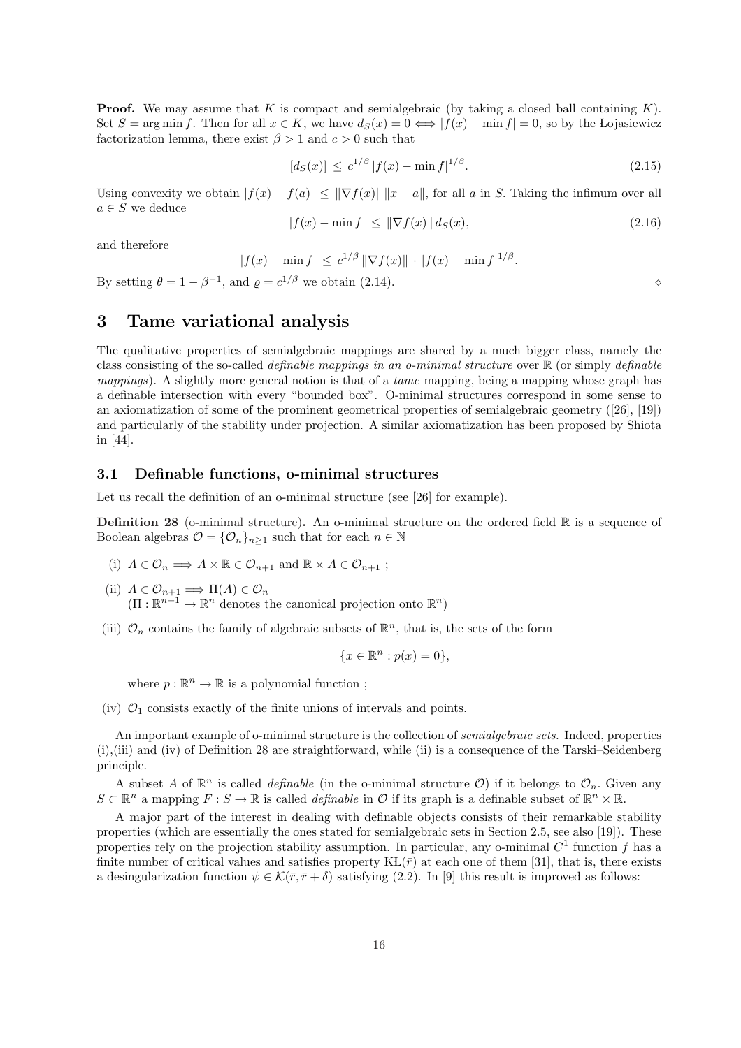**Proof.** We may assume that K is compact and semialgebraic (by taking a closed ball containing  $K$ ). Set  $S = \arg \min f$ . Then for all  $x \in K$ , we have  $d_S(x) = 0 \iff |f(x) - \min f| = 0$ , so by the Lojasiewicz factorization lemma, there exist  $\beta > 1$  and  $c > 0$  such that

$$
[d_S(x)] \le c^{1/\beta} |f(x) - \min f|^{1/\beta}.
$$
\n(2.15)

Using convexity we obtain  $|f(x) - f(a)| \leq ||\nabla f(x)|| \, ||x - a||$ , for all a in S. Taking the infimum over all  $a \in S$  we deduce

$$
|f(x) - \min f| \le ||\nabla f(x)|| \, d_S(x),\tag{2.16}
$$

and therefore

$$
|f(x) - \min f| \leq c^{1/\beta} \|\nabla f(x)\| \cdot |f(x) - \min f|^{1/\beta}.
$$

By setting  $\theta = 1 - \beta^{-1}$ , and  $\rho = c^{1/\beta}$  we obtain (2.14).

## 3 Tame variational analysis

The qualitative properties of semialgebraic mappings are shared by a much bigger class, namely the class consisting of the so-called definable mappings in an o-minimal structure over R (or simply definable mappings). A slightly more general notion is that of a *tame* mapping, being a mapping whose graph has a definable intersection with every "bounded box". O-minimal structures correspond in some sense to an axiomatization of some of the prominent geometrical properties of semialgebraic geometry ([26], [19]) and particularly of the stability under projection. A similar axiomatization has been proposed by Shiota in [44].

### 3.1 Definable functions, o-minimal structures

Let us recall the definition of an o-minimal structure (see [26] for example).

**Definition 28** (o-minimal structure). An o-minimal structure on the ordered field  $\mathbb{R}$  is a sequence of Boolean algebras  $\mathcal{O} = {\mathcal{O}_n}_{n>1}$  such that for each  $n \in \mathbb{N}$ 

(i)  $A \in \mathcal{O}_n \Longrightarrow A \times \mathbb{R} \in \mathcal{O}_{n+1}$  and  $\mathbb{R} \times A \in \mathcal{O}_{n+1}$ ;

(ii)  $A \in \mathcal{O}_{n+1} \Longrightarrow \Pi(A) \in \mathcal{O}_n$  $(\Pi : \mathbb{R}^{n+1} \to \mathbb{R}^n$  denotes the canonical projection onto  $\mathbb{R}^n$ )

(iii)  $\mathcal{O}_n$  contains the family of algebraic subsets of  $\mathbb{R}^n$ , that is, the sets of the form

$$
\{x \in \mathbb{R}^n : p(x) = 0\},\
$$

where  $p : \mathbb{R}^n \to \mathbb{R}$  is a polynomial function;

(iv)  $\mathcal{O}_1$  consists exactly of the finite unions of intervals and points.

An important example of o-minimal structure is the collection of *semialgebraic sets*. Indeed, properties (i),(iii) and (iv) of Definition 28 are straightforward, while (ii) is a consequence of the Tarski–Seidenberg principle.

A subset A of  $\mathbb{R}^n$  is called *definable* (in the o-minimal structure O) if it belongs to  $\mathcal{O}_n$ . Given any  $S \subset \mathbb{R}^n$  a mapping  $F : S \to \mathbb{R}$  is called *definable* in O if its graph is a definable subset of  $\mathbb{R}^n \times \mathbb{R}$ .

A major part of the interest in dealing with definable objects consists of their remarkable stability properties (which are essentially the ones stated for semialgebraic sets in Section 2.5, see also [19]). These properties rely on the projection stability assumption. In particular, any o-minimal  $C<sup>1</sup>$  function f has a finite number of critical values and satisfies property  $KL(\bar{r})$  at each one of them [31], that is, there exists a desingularization function  $\psi \in \mathcal{K}(\bar{r}, \bar{r} + \delta)$  satisfying (2.2). In [9] this result is improved as follows: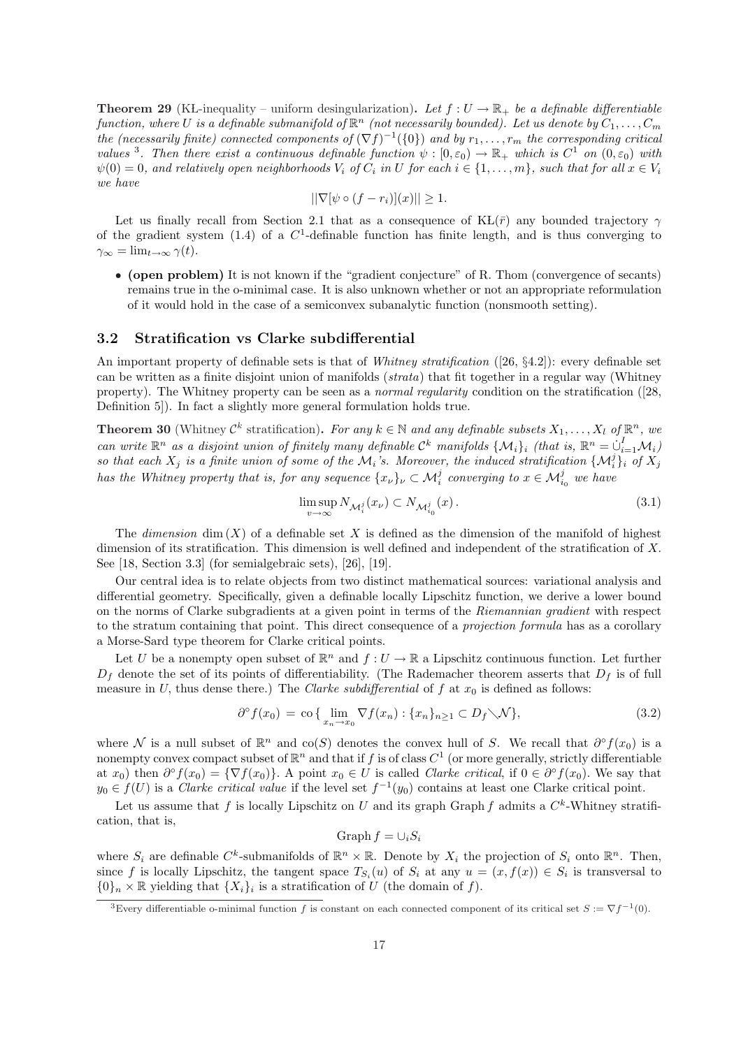**Theorem 29** (KL-inequality – uniform desingularization). Let  $f: U \to \mathbb{R}_+$  be a definable differentiable function, where U is a definable submanifold of  $\mathbb{R}^n$  (not necessarily bounded). Let us denote by  $C_1,\ldots,C_m$ the (necessarily finite) connected components of  $(\nabla f)^{-1}(\{0\})$  and by  $r_1, \ldots, r_m$  the corresponding critical values <sup>3</sup>. Then there exist a continuous definable function  $\psi : [0, \varepsilon_0) \to \mathbb{R}_+$  which is  $C^1$  on  $(0, \varepsilon_0)$  with  $\psi(0) = 0$ , and relatively open neighborhoods  $V_i$  of  $C_i$  in U for each  $i \in \{1, \ldots, m\}$ , such that for all  $x \in V_i$ we have

$$
||\nabla[\psi \circ (f - r_i)](x)|| \ge 1.
$$

Let us finally recall from Section 2.1 that as a consequence of  $KL(\bar{r})$  any bounded trajectory  $\gamma$ of the gradient system  $(1.4)$  of a  $C<sup>1</sup>$ -definable function has finite length, and is thus converging to  $\gamma_{\infty} = \lim_{t \to \infty} \gamma(t).$ 

• (open problem) It is not known if the "gradient conjecture" of R. Thom (convergence of secants) remains true in the o-minimal case. It is also unknown whether or not an appropriate reformulation of it would hold in the case of a semiconvex subanalytic function (nonsmooth setting).

#### 3.2 Stratification vs Clarke subdifferential

An important property of definable sets is that of Whitney stratification ([26, §4.2]): every definable set can be written as a finite disjoint union of manifolds (strata) that fit together in a regular way (Whitney property). The Whitney property can be seen as a normal regularity condition on the stratification ([28, Definition 5]). In fact a slightly more general formulation holds true.

**Theorem 30** (Whitney  $\mathcal{C}^k$  stratification). For any  $k \in \mathbb{N}$  and any definable subsets  $X_1, \ldots, X_l$  of  $\mathbb{R}^n$ , we can write  $\mathbb{R}^n$  as a disjoint union of finitely many definable  $\mathcal{C}^k$  manifolds  $\{\mathcal{M}_i\}_i$  (that is,  $\mathbb{R}^n = \bigcup_{i=1}^I \mathcal{M}_i$ ) so that each  $X_j$  is a finite union of some of the  $\mathcal{M}_i$ 's. Moreover, the induced stratification  $\{M_i^j\}_i$  of  $X_j$ has the Whitney property that is, for any sequence  $\{x_\nu\}_\nu\subset \mathcal{M}_i^j$  converging to  $x\in \mathcal{M}_{i_0}^j$  we have

$$
\limsup_{v \to \infty} N_{\mathcal{M}_i^j}(x_v) \subset N_{\mathcal{M}_{i_0}^j}(x).
$$
\n(3.1)

The *dimension* dim  $(X)$  of a definable set X is defined as the dimension of the manifold of highest dimension of its stratification. This dimension is well defined and independent of the stratification of X. See [18, Section 3.3] (for semialgebraic sets), [26], [19].

Our central idea is to relate objects from two distinct mathematical sources: variational analysis and differential geometry. Specifically, given a definable locally Lipschitz function, we derive a lower bound on the norms of Clarke subgradients at a given point in terms of the Riemannian gradient with respect to the stratum containing that point. This direct consequence of a projection formula has as a corollary a Morse-Sard type theorem for Clarke critical points.

Let U be a nonempty open subset of  $\mathbb{R}^n$  and  $f: U \to \mathbb{R}$  a Lipschitz continuous function. Let further  $D_f$  denote the set of its points of differentiability. (The Rademacher theorem asserts that  $D_f$  is of full measure in U, thus dense there.) The Clarke subdifferential of f at  $x_0$  is defined as follows:

$$
\partial^{\circ} f(x_0) = \text{co} \{ \lim_{x_n \to x_0} \nabla f(x_n) : \{x_n\}_{n \ge 1} \subset D_f \setminus \mathcal{N} \},\tag{3.2}
$$

where N is a null subset of  $\mathbb{R}^n$  and co(S) denotes the convex hull of S. We recall that  $\partial^{\circ} f(x_0)$  is a nonempty convex compact subset of  $\mathbb{R}^n$  and that if f is of class  $C^1$  (or more generally, strictly differentiable at  $x_0$ ) then  $\partial^{\circ} f(x_0) = {\nabla f(x_0)}$ . A point  $x_0 \in U$  is called *Clarke critical*, if  $0 \in \partial^{\circ} f(x_0)$ . We say that  $y_0 \in f(U)$  is a *Clarke critical value* if the level set  $f^{-1}(y_0)$  contains at least one Clarke critical point.

Let us assume that f is locally Lipschitz on U and its graph Graph f admits a  $C^k$ -Whitney stratification, that is,

$$
\operatorname{Graph} f = \cup_i S_i
$$

where  $S_i$  are definable  $C^k$ -submanifolds of  $\mathbb{R}^n \times \mathbb{R}$ . Denote by  $X_i$  the projection of  $S_i$  onto  $\mathbb{R}^n$ . Then, since f is locally Lipschitz, the tangent space  $T_{S_i}(u)$  of  $S_i$  at any  $u = (x, f(x)) \in S_i$  is transversal to  $\{0\}_n \times \mathbb{R}$  yielding that  $\{X_i\}_i$  is a stratification of U (the domain of f).

<sup>&</sup>lt;sup>3</sup>Every differentiable o-minimal function f is constant on each connected component of its critical set  $S := \nabla f^{-1}(0)$ .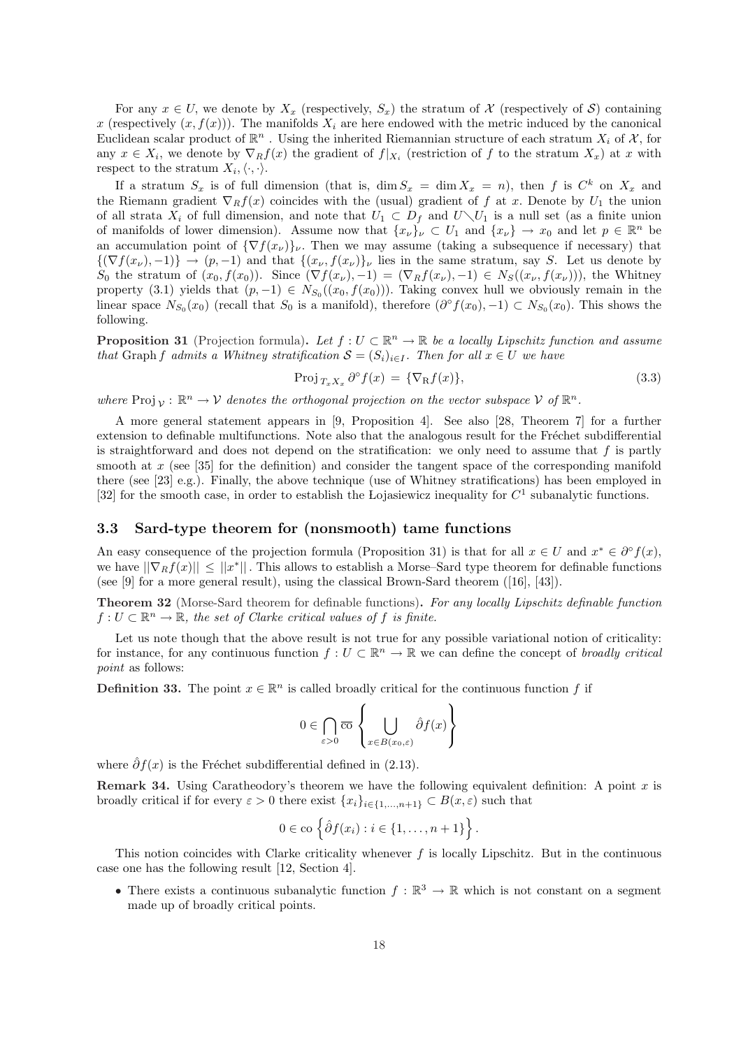For any  $x \in U$ , we denote by  $X_x$  (respectively,  $S_x$ ) the stratum of X (respectively of S) containing x (respectively  $(x, f(x))$ ). The manifolds  $X_i$  are here endowed with the metric induced by the canonical Euclidean scalar product of  $\mathbb{R}^n$ . Using the inherited Riemannian structure of each stratum  $X_i$  of  $\mathcal{X}$ , for any  $x \in X_i$ , we denote by  $\nabla_R f(x)$  the gradient of  $f|_{X_i}$  (restriction of f to the stratum  $X_x$ ) at x with respect to the stratum  $X_i, \langle \cdot, \cdot \rangle$ .

If a stratum  $S_x$  is of full dimension (that is,  $\dim S_x = \dim X_x = n$ ), then f is  $C^k$  on  $X_x$  and the Riemann gradient  $\nabla_R f(x)$  coincides with the (usual) gradient of f at x. Denote by  $U_1$  the union of all strata  $X_i$  of full dimension, and note that  $U_1 \subset D_f$  and  $U \setminus U_1$  is a null set (as a finite union of manifolds of lower dimension). Assume now that  $\{x_{\nu}\}\nu \subset U_1$  and  $\{x_{\nu}\}\to x_0$  and let  $p \in \mathbb{R}^n$  be an accumulation point of  $\{\nabla f(x_\nu)\}_\nu$ . Then we may assume (taking a subsequence if necessary) that  $\{(\nabla f(x_\nu), -1)\}\rightarrow (p, -1)$  and that  $\{(x_\nu, f(x_\nu)\}_\nu$  lies in the same stratum, say S. Let us denote by  $S_0$  the stratum of  $(x_0, f(x_0))$ . Since  $(\nabla f(x_\nu), -1) = (\nabla_R f(x_\nu), -1) \in N_S((x_\nu, f(x_\nu)))$ , the Whitney property (3.1) yields that  $(p, -1) \in N_{S_0}((x_0, f(x_0)))$ . Taking convex hull we obviously remain in the linear space  $N_{S_0}(x_0)$  (recall that  $S_0$  is a manifold), therefore  $(\partial^{\circ} f(x_0), -1) \subset N_{S_0}(x_0)$ . This shows the following.

**Proposition 31** (Projection formula). Let  $f: U \subset \mathbb{R}^n \to \mathbb{R}$  be a locally Lipschitz function and assume that Graph f admits a Whitney stratification  $S = (S_i)_{i \in I}$ . Then for all  $x \in U$  we have

$$
\operatorname{Proj}_{T_x X_x} \partial^{\circ} f(x) = \{ \nabla_{\mathcal{R}} f(x) \},\tag{3.3}
$$

where  $\text{Proj}_{\mathcal{V}} : \mathbb{R}^n \to \mathcal{V}$  denotes the orthogonal projection on the vector subspace  $\mathcal{V}$  of  $\mathbb{R}^n$ .

A more general statement appears in [9, Proposition 4]. See also [28, Theorem 7] for a further extension to definable multifunctions. Note also that the analogous result for the Fréchet subdifferential is straightforward and does not depend on the stratification: we only need to assume that  $f$  is partly smooth at  $x$  (see [35] for the definition) and consider the tangent space of the corresponding manifold there (see [23] e.g.). Finally, the above technique (use of Whitney stratifications) has been employed in [32] for the smooth case, in order to establish the Lojasiewicz inequality for  $C<sup>1</sup>$  subanalytic functions.

## 3.3 Sard-type theorem for (nonsmooth) tame functions

An easy consequence of the projection formula (Proposition 31) is that for all  $x \in U$  and  $x^* \in \partial^{\circ} f(x)$ , we have  $||\nabla_R f(x)|| \le ||x^*||$ . This allows to establish a Morse–Sard type theorem for definable functions (see [9] for a more general result), using the classical Brown-Sard theorem ([16], [43]).

Theorem 32 (Morse-Sard theorem for definable functions). For any locally Lipschitz definable function  $f: U \subset \mathbb{R}^n \to \mathbb{R}$ , the set of Clarke critical values of f is finite.

Let us note though that the above result is not true for any possible variational notion of criticality: for instance, for any continuous function  $f: U \subset \mathbb{R}^n \to \mathbb{R}$  we can define the concept of broadly critical point as follows:

**Definition 33.** The point  $x \in \mathbb{R}^n$  is called broadly critical for the continuous function f if

$$
0 \in \bigcap_{\varepsilon > 0} \overline{\mathrm{co}} \left\{ \bigcup_{x \in B(x_0, \varepsilon)} \hat{\partial} f(x) \right\}
$$

where  $\hat{\partial}f(x)$  is the Fréchet subdifferential defined in (2.13).

**Remark 34.** Using Caratheodory's theorem we have the following equivalent definition: A point x is broadly critical if for every  $\varepsilon > 0$  there exist  $\{x_i\}_{i\in\{1,\ldots,n+1\}} \subset B(x,\varepsilon)$  such that

$$
0 \in \text{co }\Big\{\hat{\partial} f(x_i) : i \in \{1, \ldots, n+1\}\Big\}.
$$

This notion coincides with Clarke criticality whenever  $f$  is locally Lipschitz. But in the continuous case one has the following result [12, Section 4].

• There exists a continuous subanalytic function  $f : \mathbb{R}^3 \to \mathbb{R}$  which is not constant on a segment made up of broadly critical points.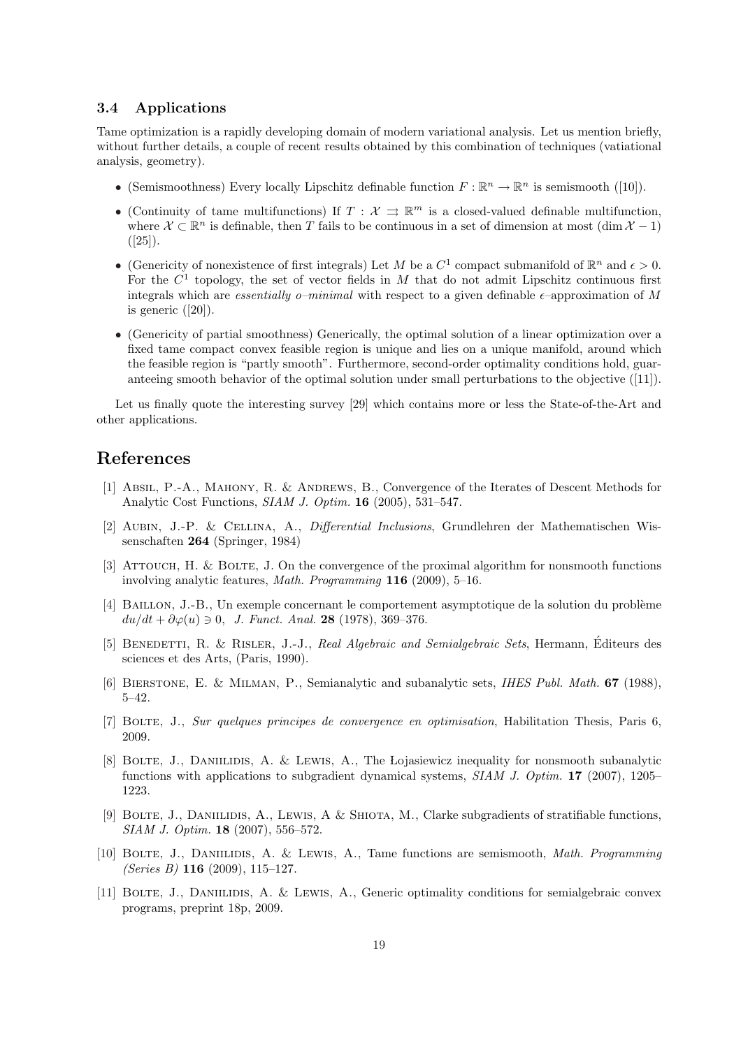### 3.4 Applications

Tame optimization is a rapidly developing domain of modern variational analysis. Let us mention briefly, without further details, a couple of recent results obtained by this combination of techniques (vatiational analysis, geometry).

- (Semismoothness) Every locally Lipschitz definable function  $F : \mathbb{R}^n \to \mathbb{R}^n$  is semismooth ([10]).
- (Continuity of tame multifunctions) If  $T: \mathcal{X} \implies \mathbb{R}^m$  is a closed-valued definable multifunction, where  $\mathcal{X} \subset \mathbb{R}^n$  is definable, then T fails to be continuous in a set of dimension at most  $(\dim \mathcal{X} - 1)$  $([25]).$
- (Genericity of nonexistence of first integrals) Let M be a  $C^1$  compact submanifold of  $\mathbb{R}^n$  and  $\epsilon > 0$ . For the  $C<sup>1</sup>$  topology, the set of vector fields in M that do not admit Lipschitz continuous first integrals which are *essentially o–minimal* with respect to a given definable  $\epsilon$ –approximation of M is generic ([20]).
- (Genericity of partial smoothness) Generically, the optimal solution of a linear optimization over a fixed tame compact convex feasible region is unique and lies on a unique manifold, around which the feasible region is "partly smooth". Furthermore, second-order optimality conditions hold, guaranteeing smooth behavior of the optimal solution under small perturbations to the objective ([11]).

Let us finally quote the interesting survey [29] which contains more or less the State-of-the-Art and other applications.

## References

- [1] Absil, P.-A., MAHONY, R. & ANDREWS, B., Convergence of the Iterates of Descent Methods for Analytic Cost Functions, SIAM J. Optim. 16 (2005), 531–547.
- [2] Aubin, J.-P. & Cellina, A., Differential Inclusions, Grundlehren der Mathematischen Wissenschaften 264 (Springer, 1984)
- [3] Attouch, H. & Bolte, J. On the convergence of the proximal algorithm for nonsmooth functions involving analytic features, Math. Programming 116 (2009), 5–16.
- [4] BAILLON, J.-B., Un exemple concernant le comportement asymptotique de la solution du problème  $du/dt + \partial \varphi(u) \ni 0, J.$  Funct. Anal. 28 (1978), 369-376.
- [5] BENEDETTI, R. & RISLER, J.-J., Real Algebraic and Semialgebraic Sets, Hermann, Éditeurs des sciences et des Arts, (Paris, 1990).
- [6] Bierstone, E. & Milman, P., Semianalytic and subanalytic sets, IHES Publ. Math. 67 (1988), 5–42.
- [7] Bolte, J., Sur quelques principes de convergence en optimisation, Habilitation Thesis, Paris 6, 2009.
- [8] BOLTE, J., DANIILIDIS, A. & LEWIS, A., The Lojasiewicz inequality for nonsmooth subanalytic functions with applications to subgradient dynamical systems, SIAM J. Optim. 17 (2007), 1205– 1223.
- [9] BOLTE, J., DANIILIDIS, A., LEWIS, A & SHIOTA, M., Clarke subgradients of stratifiable functions, SIAM J. Optim. 18 (2007), 556–572.
- [10] BOLTE, J., DANIILIDIS, A. & LEWIS, A., Tame functions are semismooth, *Math. Programming* (Series B)  $116$  (2009), 115-127.
- [11] BOLTE, J., DANIILIDIS, A. & LEWIS, A., Generic optimality conditions for semialgebraic convex programs, preprint 18p, 2009.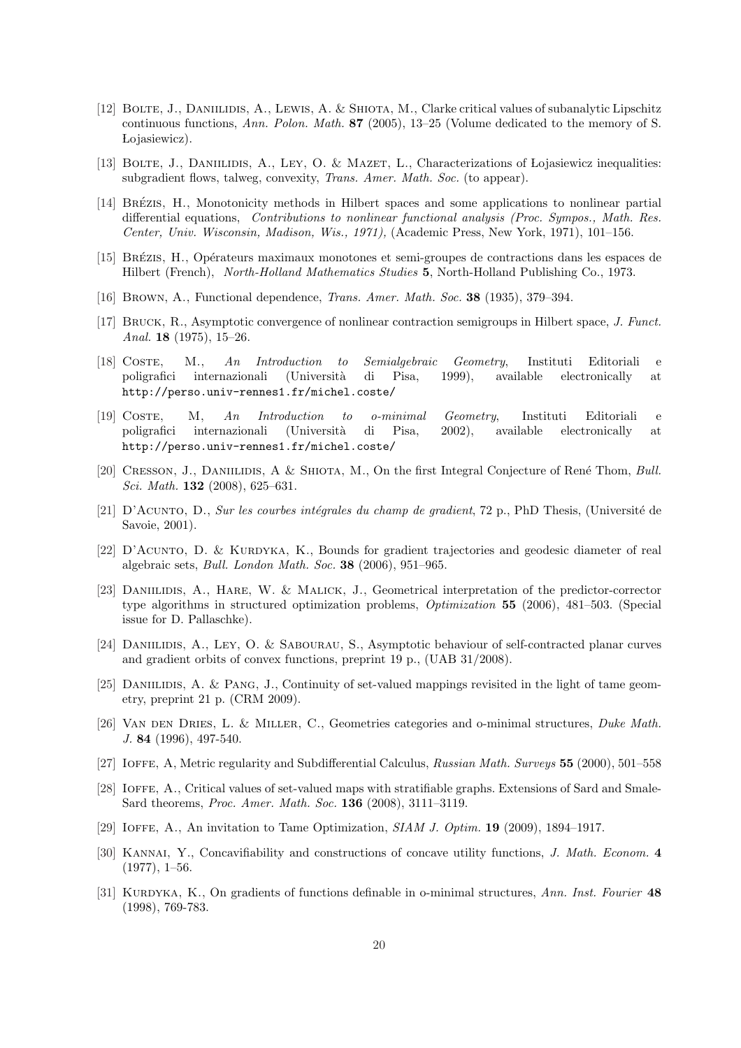- [12] Bolte, J., Daniilidis, A., Lewis, A. & Shiota, M., Clarke critical values of subanalytic Lipschitz continuous functions, Ann. Polon. Math. 87 (2005), 13–25 (Volume dedicated to the memory of S. Lojasiewicz).
- [13] BOLTE, J., DANIILIDIS, A., LEY, O. & MAZET, L., Characterizations of Lojasiewicz inequalities: subgradient flows, talweg, convexity, *Trans. Amer. Math. Soc.* (to appear).
- [14] BRÉZIS, H., Monotonicity methods in Hilbert spaces and some applications to nonlinear partial differential equations, Contributions to nonlinear functional analysis (Proc. Sympos., Math. Res. Center, Univ. Wisconsin, Madison, Wis., 1971), (Academic Press, New York, 1971), 101–156.
- [15] Brezis, H., ´ Op´erateurs maximaux monotones et semi-groupes de contractions dans les espaces de Hilbert (French), North-Holland Mathematics Studies 5, North-Holland Publishing Co., 1973.
- [16] Brown, A., Functional dependence, Trans. Amer. Math. Soc. 38 (1935), 379–394.
- [17] Bruck, R., Asymptotic convergence of nonlinear contraction semigroups in Hilbert space, J. Funct. Anal. 18 (1975), 15–26.
- [18] Coste, M., An Introduction to Semialgebraic Geometry, Instituti Editoriali e poligrafici internazionali (Universit`a di Pisa, 1999), available electronically at http://perso.univ-rennes1.fr/michel.coste/
- [19] Coste, M, An Introduction to o-minimal Geometry, Instituti Editoriali e poligrafici internazionali (Universit`a di Pisa, 2002), available electronically at http://perso.univ-rennes1.fr/michel.coste/
- [20] CRESSON, J., DANIILIDIS, A & SHIOTA, M., On the first Integral Conjecture of René Thom, Bull. Sci. Math. 132 (2008), 625–631.
- [21] D'Acunto, D., Sur les courbes intégrales du champ de gradient, 72 p., PhD Thesis, (Université de Savoie, 2001).
- $[22]$  D'Acunto, D. & Kurdyka, K., Bounds for gradient trajectories and geodesic diameter of real algebraic sets, Bull. London Math. Soc. 38 (2006), 951–965.
- [23] Daniilidis, A., Hare, W. & Malick, J., Geometrical interpretation of the predictor-corrector type algorithms in structured optimization problems, Optimization 55 (2006), 481–503. (Special issue for D. Pallaschke).
- [24] DANIILIDIS, A., LEY, O. & SABOURAU, S., Asymptotic behaviour of self-contracted planar curves and gradient orbits of convex functions, preprint 19 p., (UAB 31/2008).
- [25] DANIILIDIS, A. & PANG, J., Continuity of set-valued mappings revisited in the light of tame geometry, preprint 21 p. (CRM 2009).
- [26] Van den Dries, L. & Miller, C., Geometries categories and o-minimal structures, Duke Math. J. 84 (1996), 497-540.
- [27] Ioffe, A, Metric regularity and Subdifferential Calculus, Russian Math. Surveys 55 (2000), 501–558
- [28] Ioffe, A., Critical values of set-valued maps with stratifiable graphs. Extensions of Sard and Smale-Sard theorems, Proc. Amer. Math. Soc. 136 (2008), 3111–3119.
- [29] Ioffe, A., An invitation to Tame Optimization, SIAM J. Optim. 19 (2009), 1894–1917.
- [30] KANNAI, Y., Concavifiability and constructions of concave utility functions, *J. Math. Econom.* 4  $(1977), 1–56.$
- [31] KURDYKA, K., On gradients of functions definable in o-minimal structures, Ann. Inst. Fourier 48 (1998), 769-783.